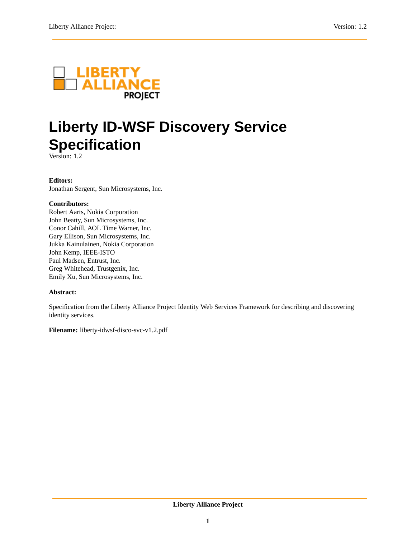

# **Liberty ID-WSF Discovery Service Specification**

Version: 1.2

### **Editors:**

Jonathan Sergent, Sun Microsystems, Inc.

### **Contributors:**

Robert Aarts, Nokia Corporation John Beatty, Sun Microsystems, Inc. Conor Cahill, AOL Time Warner, Inc. Gary Ellison, Sun Microsystems, Inc. Jukka Kainulainen, Nokia Corporation John Kemp, IEEE-ISTO Paul Madsen, Entrust, Inc. Greg Whitehead, Trustgenix, Inc. Emily Xu, Sun Microsystems, Inc.

### **Abstract:**

Specification from the Liberty Alliance Project Identity Web Services Framework for describing and discovering identity services.

**Filename:** liberty-idwsf-disco-svc-v1.2.pdf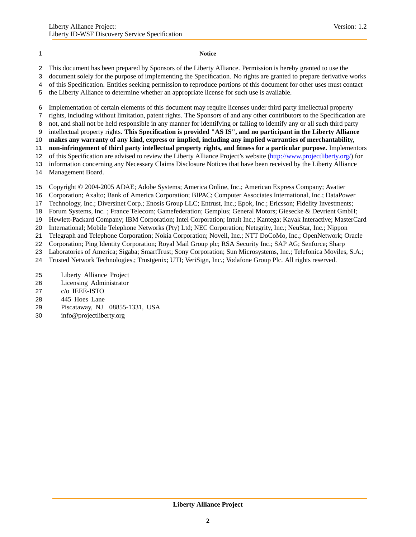#### **Notice**

- This document has been prepared by Sponsors of the Liberty Alliance. Permission is hereby granted to use the
- document solely for the purpose of implementing the Specification. No rights are granted to prepare derivative works
- of this Specification. Entities seeking permission to reproduce portions of this document for other uses must contact
- the Liberty Alliance to determine whether an appropriate license for such use is available.
- Implementation of certain elements of this document may require licenses under third party intellectual property
- rights, including without limitation, patent rights. The Sponsors of and any other contributors to the Specification are
- not, and shall not be held responsible in any manner for identifying or failing to identify any or all such third party
- intellectual property rights. **This Specification is provided "AS IS", and no participant in the Liberty Alliance**
- **makes any warranty of any kind, express or implied, including any implied warranties of merchantability,**
- **non-infringement of third party intellectual property rights, and fitness for a particular purpose.** Implementors
- of this Specification are advised to review the Liberty Alliance Project's website [\(http://www.projectliberty.org/\)](http://www.projectliberty.org/) for information concerning any Necessary Claims Disclosure Notices that have been received by the Liberty Alliance
- Management Board.
- Copyright © 2004-2005 ADAE; Adobe Systems; America Online, Inc.; American Express Company; Avatier
- Corporation; Axalto; Bank of America Corporation; BIPAC; Computer Associates International, Inc.; DataPower
- Technology, Inc.; Diversinet Corp.; Enosis Group LLC; Entrust, Inc.; Epok, Inc.; Ericsson; Fidelity Investments;
- Forum Systems, Inc. ; France Telecom; Gamefederation; Gemplus; General Motors; Giesecke & Devrient GmbH;
- Hewlett-Packard Company; IBM Corporation; Intel Corporation; Intuit Inc.; Kantega; Kayak Interactive; MasterCard
- International; Mobile Telephone Networks (Pty) Ltd; NEC Corporation; Netegrity, Inc.; NeuStar, Inc.; Nippon
- Telegraph and Telephone Corporation; Nokia Corporation; Novell, Inc.; NTT DoCoMo, Inc.; OpenNetwork; Oracle
- Corporation; Ping Identity Corporation; Royal Mail Group plc; RSA Security Inc.; SAP AG; Senforce; Sharp
- Laboratories of America; Sigaba; SmartTrust; Sony Corporation; Sun Microsystems, Inc.; Telefonica Moviles, S.A.;
- Trusted Network Technologies.; Trustgenix; UTI; VeriSign, Inc.; Vodafone Group Plc. All rights reserved.
- Liberty Alliance Project
- Licensing Administrator
- c/o IEEE-ISTO
- 445 Hoes Lane
- Piscataway, NJ 08855-1331, USA
- info@projectliberty.org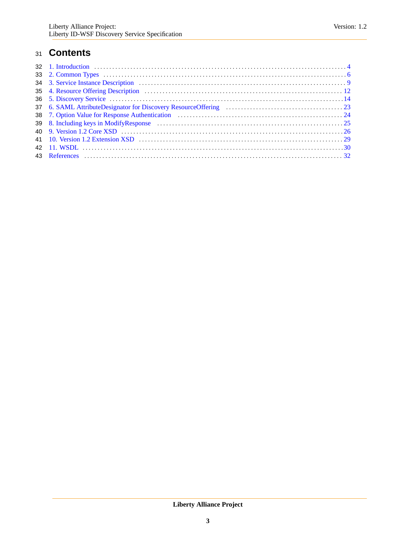### **Contents**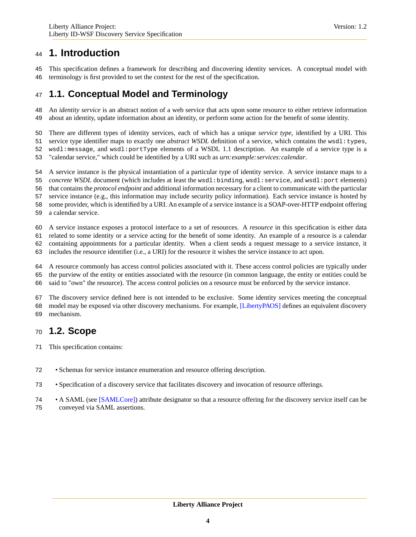<span id="page-3-0"></span> This specification defines a framework for describing and discovering identity services. A conceptual model with terminology is first provided to set the context for the rest of the specification.

# <span id="page-3-1"></span>**1.1. Conceptual Model and Terminology**

 An *identity service* is an abstract notion of a web service that acts upon some resource to either retrieve information about an identity, update information about an identity, or perform some action for the benefit of some identity.

There are different types of identity services, each of which has a unique *service type*, identified by a URI. This

service type identifier maps to exactly one *abstract WSDL* definition of a service, which contains the wsdl:types,

wsdl:message, and wsdl:portType elements of a WSDL 1.1 description. An example of a service type is a

"calendar service," which could be identified by a URI such as *urn:example:services:calendar*.

 A service instance is the physical instantiation of a particular type of identity service. A service instance maps to a *concrete WSDL* document (which includes at least the wsdl:binding, wsdl:service, and wsdl:port elements) that contains the *protocol endpoint* and additional information necessary for a client to communicate with the particular service instance (e.g., this information may include security policy information). Each service instance is hosted by

some provider, which is identified by a URI. An example of a service instance is a SOAP-over-HTTP endpoint offering

a calendar service.

A service instance exposes a protocol interface to a set of resources. A *resource* in this specification is either data

related to some identity or a service acting for the benefit of some identity. An example of a resource is a calendar

containing appointments for a particular identity. When a client sends a request message to a service instance, it

includes the resource identifier (i.e., a URI) for the resource it wishes the service instance to act upon.

 A resource commonly has access control policies associated with it. These access control policies are typically under the purview of the entity or entities associated with the resource (in common language, the entity or entities could be

said to "own" the resource). The access control policies on a resource must be enforced by the service instance.

 The discovery service defined here is not intended to be exclusive. Some identity services meeting the conceptual model may be exposed via other discovery mechanisms. For example, [\[LibertyPAOS\]](#page-31-1) defines an equivalent discovery mechanism.

### **1.2. Scope**

- This specification contains:
- Schemas for service instance enumeration and resource offering description.
- Specification of a discovery service that facilitates discovery and invocation of resource offerings.
- A SAML (see [\[SAMLCore\]\)](#page-31-2) attribute designator so that a resource offering for the discovery service itself can be
- conveyed via SAML assertions.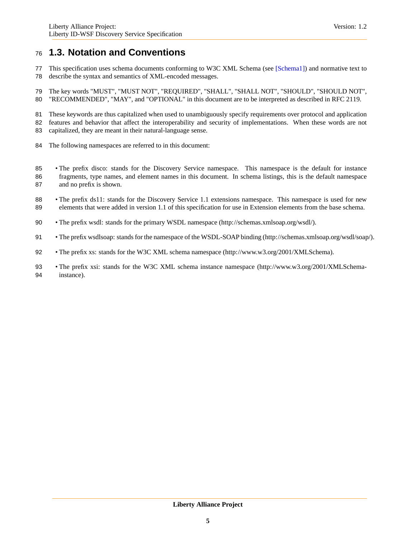### **1.3. Notation and Conventions**

- This specification uses schema documents conforming to W3C XML Schema (see [\[Schema1\]\)](#page-31-3) and normative text to describe the syntax and semantics of XML-encoded messages.
- The key words "MUST", "MUST NOT", "REQUIRED", "SHALL", "SHALL NOT", "SHOULD", "SHOULD NOT", "RECOMMENDED", "MAY", and "OPTIONAL" in this document are to be interpreted as described in RFC 2119.
- These keywords are thus capitalized when used to unambiguously specify requirements over protocol and application
- features and behavior that affect the interoperability and security of implementations. When these words are not
- capitalized, they are meant in their natural-language sense.
- The following namespaces are referred to in this document:
- The prefix disco: stands for the Discovery Service namespace. This namespace is the default for instance fragments, type names, and element names in this document. In schema listings, this is the default namespace
- and no prefix is shown.
- The prefix ds11: stands for the Discovery Service 1.1 extensions namespace. This namespace is used for new elements that were added in version 1.1 of this specification for use in Extension elements from the base schema.
- The prefix wsdl: stands for the primary WSDL namespace (http://schemas.xmlsoap.org/wsdl/).
- The prefix wsdlsoap: stands for the namespace of the WSDL-SOAP binding (http://schemas.xmlsoap.org/wsdl/soap/).
- 92 The prefix xs: stands for the W3C XML schema namespace (http://www.w3.org/2001/XMLSchema).
- The prefix xsi: stands for the W3C XML schema instance namespace (http://www.w3.org/2001/XMLSchema-instance).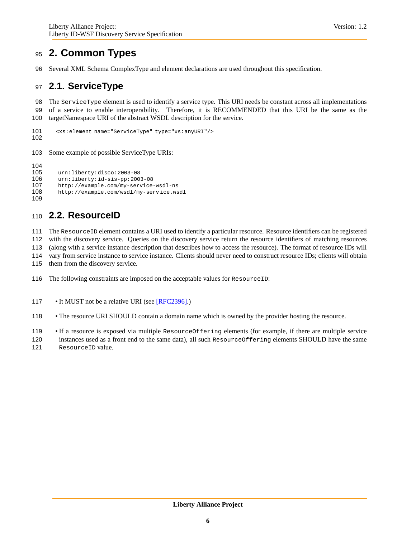# <span id="page-5-0"></span>**2. Common Types**

Several XML Schema ComplexType and element declarations are used throughout this specification.

### **2.1. ServiceType**

 The ServiceType element is used to identify a service type. This URI needs be constant across all implementations of a service to enable interoperability. Therefore, it is RECOMMENDED that this URI be the same as the targetNamespace URI of the abstract WSDL description for the service.

```
101 <xs:element name="ServiceType" type="xs:anyURI"/>
102
```
Some example of possible ServiceType URIs:

 105 urn:liberty:disco:2003-08<br>106 urn:liberty:id-sis-pp:200 urn:liberty:id-sis-pp:2003-08 http://example.com/my-service-wsdl-ns http://example.com/wsdl/my-serv ice.wsdl 

# **2.2. ResourceID**

 The ResourceID element contains a URI used to identify a particular resource. Resource identifiers can be registered with the discovery service. Queries on the discovery service return the resource identifiers of matching resources

(along with a service instance description that describes how to access the resource). The format of resource IDs will

vary from service instance to service instance. Clients should never need to construct resource IDs; clients will obtain

them from the discovery service.

116 The following constraints are imposed on the acceptable values for ResourceID:

117 • It MUST not be a relative URI (see [\[RFC2396\].](#page-31-4))

• The resource URI SHOULD contain a domain name which is owned by the provider hosting the resource.

• If a resource is exposed via multiple ResourceOffering elements (for example, if there are multiple service

instances used as a front end to the same data), all such ResourceOffering elements SHOULD have the same

ResourceID value.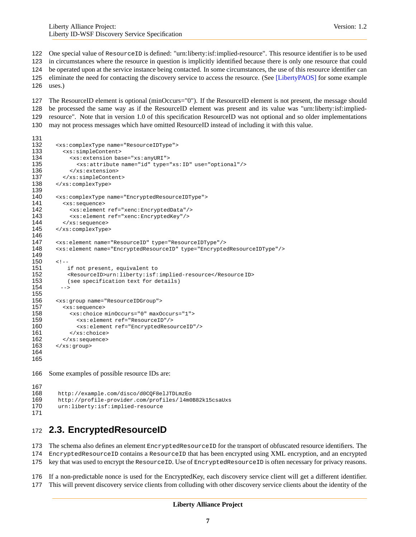One special value of ResourceID is defined: "urn:liberty:isf:implied-resource". This resource identifier is to be used in circumstances where the resource in question is implicitly identified because there is only one resource that could

be operated upon at the service instance being contacted. In some circumstances, the use of this resource identifier can

eliminate the need for contacting the discovery service to access the resource. (See [\[LibertyPAOS\]](#page-31-1) for some example

uses.)

 The ResourceID element is optional (minOccurs="0"). If the ResourceID element is not present, the message should be processed the same way as if the ResourceID element was present and its value was "urn:liberty:isf:implied- resource". Note that in version 1.0 of this specification ResourceID was not optional and so older implementations may not process messages which have omitted ResourceID instead of including it with this value.

```
132 <xs:complexType name="ResourceIDType">
133 <xs:simpleContent><br>134 <xs:extension bas
           134 <xs:extension base="xs:anyURI">
135 <xs:attribute name="id" type="xs:ID" use="optional"/>
136 </xs:extension>
137 </xs:simpleContent>
138 </xs:complexType>
139
       140 <xs:complexType name="EncryptedResourceIDType">
141 <xs:sequence>
           142 <xs:element ref="xenc:EncryptedData"/>
143 <xs:element ref="xenc:EncryptedKey"/>
144 </xs: sequence>
145 </xs:complexType>
146
       147 <xs:element name="ResourceID" type="ResourceIDType"/>
148 <xs:element name="EncryptedResourceID" type="EncryptedResourceIDType"/>
149
150 \leq l - 1151 if not present, equivalent to
152 <ResourceID>urn:liberty:isf:implied-resource</Resource ID>
153 (see specification text for details)
154 -->
155
156 <xs:group name="ResourceIDGroup">
157 <xs:sequence>
           158 <xs:choice minOccurs="0" maxOccurs="1">
159 <xs:element ref="ResourceID"/>
160 <xs:element ref="EncryptedResourceID"/>
161 </xs:choice>
162 \langle x s : \text{sequence} \rangle<br>163 \langle x s : \text{aroup} \rangle</xs:group>
164
165
166 Some examples of possible resource IDs are:
```

```
167
168 http://example.com/disco/d0CQF8elJTDLmzEo<br>169 http://profile-provider.com/profiles/14m0
          http://profile-provider.com/profiles/14m0B82k15csaUxs
170 urn:liberty:isf:implied-resource
171
```
### **2.3. EncryptedResourceID**

 The schema also defines an element EncryptedResourceID for the transport of obfuscated resource identifiers. The EncryptedResourceID contains a ResourceID that has been encrypted using XML encryption, and an encrypted key that was used to encrypt the ResourceID. Use of EncryptedResourceID is often necessary for privacy reasons.

If a non-predictable nonce is used for the EncryptedKey, each discovery service client will get a different identifier.

This will prevent discovery service clients from colluding with other discovery service clients about the identity of the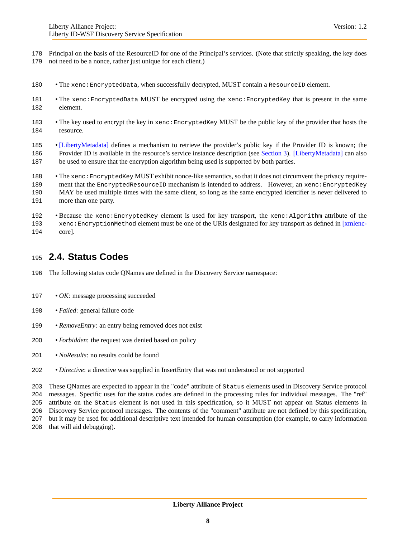- Principal on the basis of the ResourceID for one of the Principal's services. (Note that strictly speaking, the key does not need to be a nonce, rather just unique for each client.)
- 180 The xenc: EncryptedData, when successfully decrypted, MUST contain a ResourceID element.
- 181 The xenc: EncryptedData MUST be encrypted using the xenc: EncryptedKey that is present in the same element.
- The key used to encrypt the key in xenc:EncryptedKey MUST be the public key of the provider that hosts the resource.
- [\[LibertyMetadata\]](#page-31-5) defines a mechanism to retrieve the provider's public key if the Provider ID is known; the Provider ID is available in the resource's service instance description (see [Section 3\)](#page-8-0). [\[LibertyMetadata\]](#page-31-5) can also be used to ensure that the encryption algorithm being used is supported by both parties.
- The xenc:EncryptedKey MUST exhibit nonce-like semantics, so that it does not circumvent the privacy require-189 ment that the EncryptedResourceID mechanism is intended to address. However, an xenc: EncryptedKey MAY be used multiple times with the same client, so long as the same encrypted identifier is never delivered to 191 more than one party.
- Because the xenc:EncryptedKey element is used for key transport, the xenc:Algorithm attribute of the 193 xenc: EncryptionMethod element must be one of the URIs designated for key transport as defined in [\[xmlenc-](#page-31-6)[core\].](#page-31-6)

### **2.4. Status Codes**

- The following status code QNames are defined in the Discovery Service namespace:
- *OK*: message processing succeeded
- *Failed*: general failure code
- *RemoveEntry*: an entry being removed does not exist
- *Forbidden*: the request was denied based on policy
- *NoResults*: no results could be found
- *Directive*: a directive was supplied in InsertEntry that was not understood or not supported

 These QNames are expected to appear in the "code" attribute of Status elements used in Discovery Service protocol messages. Specific uses for the status codes are defined in the processing rules for individual messages. The "ref" attribute on the Status element is not used in this specification, so it MUST not appear on Status elements in Discovery Service protocol messages. The contents of the "comment" attribute are not defined by this specification, but it may be used for additional descriptive text intended for human consumption (for example, to carry information

that will aid debugging).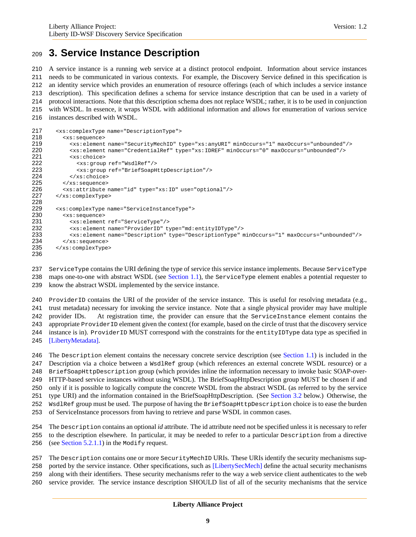### <span id="page-8-0"></span>**3. Service Instance Description**

 A service instance is a running web service at a distinct protocol endpoint. Information about service instances needs to be communicated in various contexts. For example, the Discovery Service defined in this specification is an identity service which provides an enumeration of resource offerings (each of which includes a service instance description). This specification defines a schema for service instance description that can be used in a variety of protocol interactions. Note that this description schema does not replace WSDL; rather, it is to be used in conjunction with WSDL. In essence, it wraps WSDL with additional information and allows for enumeration of various service instances described with WSDL.

```
217 <xs:complexType name="DescriptionType">
218 <xs:sequence>
219 <xs:element name="SecurityMechID" type="xs:anyURI" minOccurs="1" maxOccurs="unbounded"/>
220 <xs:element name="CredentialRef" type="xs:IDREF" minOccurs="0" maxOccurs="unbounded"/>
221 <xs:choice><br>222 <xs:group
             222 <xs:group ref="WsdlRef"/>
223 <xs:group ref="BriefSoapHttpDescription"/>
224 </xs:choice><br>225 </xs:sequence>
         225 </xs:sequence>
226 <xs:attribute name="id" type="xs:ID" use="optional"/>
227 </xs:complexType>
228
229 <xs:complexType name="ServiceInstanceType">
230 <xs:sequence>
231 <xs:element ref="ServiceType"/>
232 <xs:element name="ProviderID" type="md:entityIDType"/>
           233 <xs:element name="Description" type="DescriptionType" minOccurs="1" maxOccurs="unbounded"/>
234 </xs:sequence>
235 </xs:complexType>
236
```
 ServiceType contains the URI defining the type of service this service instance implements. Because ServiceType 238 maps one-to-one with abstract WSDL (see [Section 1.1\)](#page-3-1), the ServiceType element enables a potential requester to know the abstract WSDL implemented by the service instance.

 ProviderID contains the URI of the provider of the service instance. This is useful for resolving metadata (e.g., trust metadata) necessary for invoking the service instance. Note that a single physical provider may have multiple provider IDs. At registration time, the provider can ensure that the ServiceInstance element contains the appropriate ProviderID element given the context (for example, based on the circle of trust that the discovery service instance is in). ProviderID MUST correspond with the constraints for the entityIDType data type as specified in [\[LibertyMetadata\].](#page-31-5)

 The Description element contains the necessary concrete service description (see [Section 1.1\)](#page-3-1) is included in the Description via a choice between a WsdlRef group (which references an external concrete WSDL resource) or a BriefSoapHttpDescription group (which provides inline the information necessary to invoke basic SOAP-over- HTTP-based service instances without using WSDL). The BriefSoapHttpDescription group MUST be chosen if and only if it is possible to logically compute the concrete WSDL from the abstract WSDL (as referred to by the service type URI) and the information contained in the BriefSoapHttpDescription. (See [Section 3.2](#page-9-0) below.) Otherwise, the WsdlRef group must be used. The purpose of having the BriefSoapHttpDescription choice is to ease the burden of ServiceInstance processors from having to retrieve and parse WSDL in common cases.

 The Description contains an optional *id* attribute. The id attribute need not be specified unless it is necessary to refer to the description elsewhere. In particular, it may be needed to refer to a particular Description from a directive 256 (see [Section 5.2.1.1\)](#page-18-0) in the Modify request.

257 The Description contains one or more SecurityMechID URIs. These URIs identify the security mechanisms sup-

ported by the service instance. Other specifications, such as [\[LibertySecMech\]](#page-31-7) define the actual security mechanisms

- along with their identifiers. These security mechanisms refer to the way a web service client authenticates to the web
- service provider. The service instance description SHOULD list of all of the security mechanisms that the service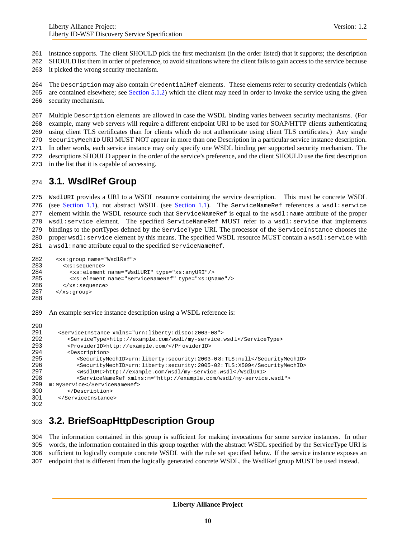instance supports. The client SHOULD pick the first mechanism (in the order listed) that it supports; the description

SHOULD list them in order of preference, to avoid situations where the client fails to gain access to the service because

it picked the wrong security mechanism.

 The Description may also contain CredentialRef elements. These elements refer to security credentials (which are contained elsewhere; see [Section 5.1.2\)](#page-14-0) which the client may need in order to invoke the service using the given security mechanism.

 Multiple Description elements are allowed in case the WSDL binding varies between security mechanisms. (For example, many web servers will require a different endpoint URI to be used for SOAP/HTTP clients authenticating using client TLS certificates than for clients which do not authenticate using client TLS certificates.) Any single SecurityMechID URI MUST NOT appear in more than one Description in a particular service instance description. In other words, each service instance may only specify one WSDL binding per supported security mechanism. The descriptions SHOULD appear in the order of the service's preference, and the client SHOULD use the first description in the list that it is capable of accessing.

# **3.1. WsdlRef Group**

 WsdlURI provides a URI to a WSDL resource containing the service description. This must be concrete WSDL 276 (see [Section 1.1\)](#page-3-1), not abstract WSDL (see Section 1.1). The ServiceNameRef references a wsdl:service element within the WSDL resource such that ServiceNameRef is equal to the wsdl:name attribute of the proper wsdl:service element. The specified ServiceNameRef MUST refer to a wsdl:service that implements bindings to the portTypes defined by the ServiceType URI. The processor of the ServiceInstance chooses the 280 proper wsdl: service element by this means. The specified WSDL resource MUST contain a wsdl: service with 281 a wsdl:name attribute equal to the specified ServiceNameRef.

```
282 < xs: group name="WsdlRef"><br>283 < xs: sequence>
          283 <xs:sequence>
284 <xs:element name="WsdlURI" type="xs:anyURI"/>
285 <xs:element name="ServiceNameRef" type="xs:QName"/>
286 </xs:sequence><br>287 </xs:group>
        </xs:group>
288
289 An example service instance description using a WSDL reference is:
290
291 <ServiceInstance xmlns="urn:liberty:disco:2003-08">
```

```
292 <ServiceType>http://example.com/wsdl/my-service.wsdl</ServiceType><br>293 <ProviderID>http://example.com/</ProviderID>
            293 <ProviderID>http://example.com/</Pr oviderID>
294 <Description>
295 <SecurityMechID>urn:liberty:security:2003-0 8:TLS:null</SecurityMechID>
296 <SecurityMechID>urn:liberty:security:2005-02: TLS:X509</SecurityMechID>
297 < WsdlURI>http://example.com/wsdl/my-service.wsdl</br/>/WsdlURI>298 < ServiceNameRef xmlns:m="http://example.com/wsdl/my-service
               298 <ServiceNameRef xmlns:m="http://example.com/wsdl/my-service.wsdl">
299 m:MyService</ServiceNameRef>
300 </Description>
301 </ServiceInstance>
302
```
# <span id="page-9-0"></span>**3.2. BriefSoapHttpDescription Group**

 The information contained in this group is sufficient for making invocations for some service instances. In other words, the information contained in this group together with the abstract WSDL specified by the ServiceType URI is sufficient to logically compute concrete WSDL with the rule set specified below. If the service instance exposes an endpoint that is different from the logically generated concrete WSDL, the WsdlRef group MUST be used instead.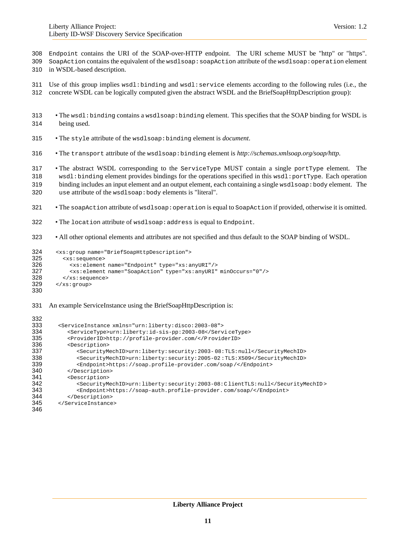- Endpoint contains the URI of the SOAP-over-HTTP endpoint. The URI scheme MUST be "http" or "https".
- SoapAction contains the equivalent of the wsdlsoap:soapAction attribute of the wsdlsoap:operation element in WSDL-based description.
- 

- Use of this group implies wsdl:binding and wsdl:service elements according to the following rules (i.e., the
- concrete WSDL can be logically computed given the abstract WSDL and the BriefSoapHttpDescription group):
- The wsdl:binding contains a wsdlsoap:binding element. This specifies that the SOAP binding for WSDL is being used.
- The style attribute of the wsdlsoap:binding element is *document*.
- The transport attribute of the wsdlsoap:binding element is *http://schemas.xmlsoap.org/soap/http*.
- The abstract WSDL corresponding to the ServiceType MUST contain a single portType element. The wsdl:binding element provides bindings for the operations specified in this wsdl:portType. Each operation binding includes an input element and an output element, each containing a single wsdlsoap:body element. The
- use attribute of the wsdlsoap:body elements is "literal".
- The soapAction attribute of wsdlsoap:operation is equal to SoapAction if provided, otherwise it is omitted.
- The location attribute of wsdlsoap:address is equal to Endpoint.
- All other optional elements and attributes are not specified and thus default to the SOAP binding of WSDL.

```
324 <xs:group name="BriefSoapHttpDescription"><br>325 <xs:sequence>
325 <xs:sequence>
326 <xs:element name="Endpoint" type="xs:anyURI"/>
327 \timesxs:element name="SoapAction" type="xs:anyURI" minOccurs="0"/><br>328 \times/xs:sequence>
           328 </xs:sequence>
329 \times /xs:group>
330
```
An example ServiceInstance using the BriefSoapHttpDescription is:

| 332 |                                                                              |
|-----|------------------------------------------------------------------------------|
| 333 | <serviceinstance xmlns="urn:liberty:disco:2003-08"></serviceinstance>        |
| 334 | <servicetype>urn:liberty:id-sis-pp:2003-08</servicetype>                     |
| 335 | <providerid>http://profile-provider.com/</providerid>                        |
| 336 | <description></description>                                                  |
| 337 | <securitymechid>urn:liberty:security:2003-08:TLS:null</securitymechid>       |
| 338 | <securitymechid>urn:liberty:security:2005-02:TLS:X509</securitymechid>       |
| 339 | <endpoint>https://soap.profile-provider.com/soap/</endpoint>                 |
| 340 |                                                                              |
| 341 | <description></description>                                                  |
| 342 | <securitymechid>urn:liberty:security:2003-08:ClientTLS:null</securitymechid> |
| 343 | <endpoint>https://soap-auth.profile-provider.com/soap/</endpoint>            |
| 344 |                                                                              |
| 345 |                                                                              |
| 346 |                                                                              |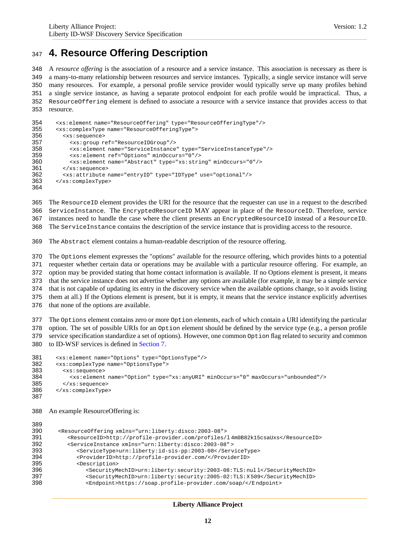### <span id="page-11-0"></span>**4. Resource Offering Description**

 A *resource offering* is the association of a resource and a service instance. This association is necessary as there is a many-to-many relationship between resources and service instances. Typically, a single service instance will serve many resources. For example, a personal profile service provider would typically serve up many profiles behind a single service instance, as having a separate protocol endpoint for each profile would be impractical. Thus, a ResourceOffering element is defined to associate a resource with a service instance that provides access to that resource.

```
354 <xs:element name="ResourceOffering" type="ResourceOfferingType"/><br>355 <xs:complexType name="ResourceOfferingType">
       355 <xs:complexType name="ResourceOfferingType">
356 <xs:sequence>
357 <xs:group ref="ResourceIDGroup"/>
358 <xs:element name="ServiceInstance" type="ServiceInstanceType"/>
            359 <xs:element ref="Options" minOccurs="0"/>
360 <xs:element name="Abstract" type="xs:string" minOccurs="0"/>
361 </xs:sequence>
362 <xs:attribute name="entryID" type="IDType" use="optional"/>
363 </xs:complexType>
364
```
 The ResourceID element provides the URI for the resource that the requester can use in a request to the described ServiceInstance. The EncryptedResourceID MAY appear in place of the ResourceID. Therefore, service instances need to handle the case where the client presents an EncryptedResourceID instead of a ResourceID.

The ServiceInstance contains the description of the service instance that is providing access to the resource.

The Abstract element contains a human-readable description of the resource offering.

 The Options element expresses the "options" available for the resource offering, which provides hints to a potential requester whether certain data or operations may be available with a particular resource offering. For example, an option may be provided stating that home contact information is available. If no Options element is present, it means that the service instance does not advertise whether any options are available (for example, it may be a simple service that is not capable of updating its entry in the discovery service when the available options change, so it avoids listing them at all.) If the Options element is present, but it is empty, it means that the service instance explicitly advertises that none of the options are available.

 The Options element contains zero or more Option elements, each of which contain a URI identifying the particular 378 option. The set of possible URIs for an option element should be defined by the service type  $(e.g., a person profile)$  service specification standardize a set of options). However, one common Option flag related to security and common to ID-WSF services is defined in [Section 7.](#page-23-0)

```
381 <xs:element name="Options" type="OptionsType"/>
382 <xs:complexType name="OptionsType">
383 <xs:sequence>
384 <xs:element name="Option" type="xs:anyURI" minOccurs="0" maxOccurs="unbounded"/><br>385 </xs:sequence>
         385 </xs:sequence>
386 </xs:complexType>
387
```
An example ResourceOffering is:

```
389
390 <ResourceOffering xmlns="urn:liberty:disco:2003-08">
391 <ResourceID>http://profile-provider.com/profiles/l 4m0B82k15csaUxs</ResourceID>
          392 <ServiceInstance xmlns="urn:liberty:disco:2003-08" >
393 <ServiceType>urn:liberty:id-sis-pp:2003-08< /ServiceType>
394 <ProviderID>http://profile-provid er.com/</ProviderID>
395 <Description>
396 <SecurityMechID>urn:liberty:security:2003-08:TLS:nul l</SecurityMechID>
               397 <SecurityMechID>urn:liberty:security:2005-02:TLS:X 509</SecurityMechID>
398 <Endpoint>https://soap.profile-provider.com/soap/</E ndpoint>
```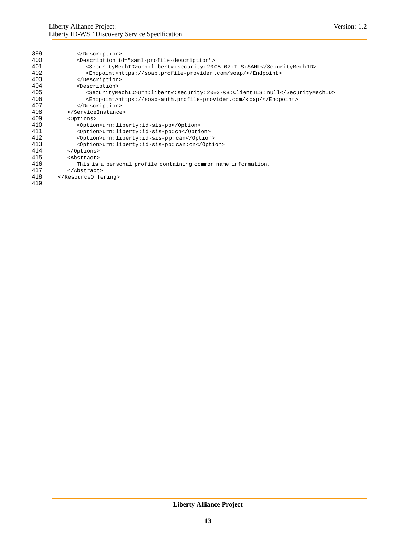| 399 |                                                                              |
|-----|------------------------------------------------------------------------------|
| 400 | <description id="saml-profile-description"></description>                    |
| 401 | <securitymechid>urn:liberty:security:2005-02:TLS:SAML</securitymechid>       |
| 402 | <endpoint>https://soap.profile-provider.com/soap/</endpoint>                 |
| 403 |                                                                              |
| 404 | <description></description>                                                  |
| 405 | <securitymechid>urn:liberty:security:2003-08:ClientTLS:null</securitymechid> |
| 406 | <endpoint>https://soap-auth.profile-provider.com/soap/</endpoint>            |
| 407 |                                                                              |
| 408 |                                                                              |
| 409 | <options></options>                                                          |
| 410 | <option>urn:liberty:id-sis-pp</option>                                       |
| 411 | <option>urn:liberty:id-sis-pp:cn</option>                                    |
| 412 | <option>urn:liberty:id-sis-pp:can</option>                                   |
| 413 | <option>urn:liberty:id-sis-pp:can:cn</option>                                |
| 414 |                                                                              |
| 415 | <abstract></abstract>                                                        |
| 416 | This is a personal profile containing common name information.               |
| 417 | $\langle$ Abstract>                                                          |
| 418 |                                                                              |
| 419 |                                                                              |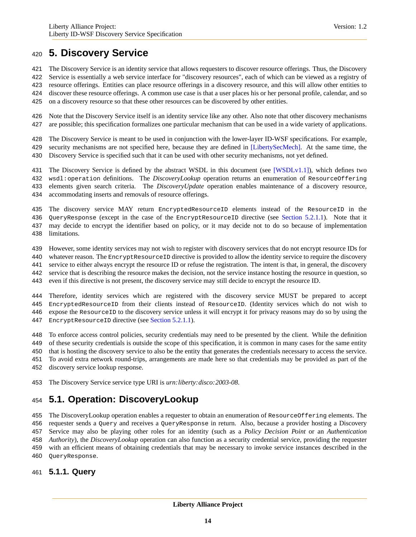### <span id="page-13-0"></span>**5. Discovery Service**

- The Discovery Service is an identity service that allows requesters to discover resource offerings. Thus, the Discovery
- Service is essentially a web service interface for "discovery resources", each of which can be viewed as a registry of
- resource offerings. Entities can place resource offerings in a discovery resource, and this will allow other entities to
- discover these resource offerings. A common use case is that a user places his or her personal profile, calendar, and so
- on a discovery resource so that these other resources can be discovered by other entities.
- Note that the Discovery Service itself is an identity service like any other. Also note that other discovery mechanisms are possible; this specification formalizes one particular mechanism that can be used in a wide variety of applications.
- The Discovery Service is meant to be used in conjunction with the lower-layer ID-WSF specifications. For example, 429 security mechanisms are not specified here, because they are defined in [\[LibertySecMech\].](#page-31-7) At the same time, the Discovery Service is specified such that it can be used with other security mechanisms, not yet defined.
- 431 The Discovery Service is defined by the abstract WSDL in this document (see [\[WSDLv1.1\]\)](#page-31-8), which defines two wsdl:operation definitions. The *DiscoveryLookup* operation returns an enumeration of ResourceOffering elements given search criteria. The *DiscoveryUpdate* operation enables maintenance of a discovery resource, accommodating inserts and removals of resource offerings.
- The discovery service MAY return EncryptedResourceID elements instead of the ResourceID in the QueryResponse (except in the case of the EncryptResourceID directive (see [Section 5.2.1.1\)](#page-18-0). Note that it may decide to encrypt the identifier based on policy, or it may decide not to do so because of implementation limitations.
- However, some identity services may not wish to register with discovery services that do not encrypt resource IDs for
- 440 whatever reason. The EncryptResourceID directive is provided to allow the identity service to require the discovery service to either always encrypt the resource ID or refuse the registration. The intent is that, in general, the discovery
- service that is describing the resource makes the decision, not the service instance hosting the resource in question, so
- even if this directive is not present, the discovery service may still decide to encrypt the resource ID.
- Therefore, identity services which are registered with the discovery service MUST be prepared to accept EncryptedResourceID from their clients instead of ResourceID. (Identity services which do not wish to expose the ResourceID to the discovery service unless it will encrypt it for privacy reasons may do so by using the 447 EncryptResourceID directive (see [Section 5.2.1.1\)](#page-18-0).
- 
- To enforce access control policies, security credentials may need to be presented by the client. While the definition of these security credentials is outside the scope of this specification, it is common in many cases for the same entity
- that is hosting the discovery service to also be the entity that generates the credentials necessary to access the service.
- To avoid extra network round-trips, arrangements are made here so that credentials may be provided as part of the
- discovery service lookup response.
- The Discovery Service service type URI is *urn:liberty:disco:2003-08*.

# **5.1. Operation: DiscoveryLookup**

- The DiscoveryLookup operation enables a requester to obtain an enumeration of ResourceOffering elements. The
- requester sends a Query and receives a QueryResponse in return. Also, because a provider hosting a Discovery
- Service may also be playing other roles for an identity (such as a *Policy Decision Point* or an *Authentication*
- *Authority*), the *DiscoveryLookup* operation can also function as a security credential service, providing the requester
- with an efficient means of obtaining credentials that may be necessary to invoke service instances described in the
- QueryResponse.

### **5.1.1. Query**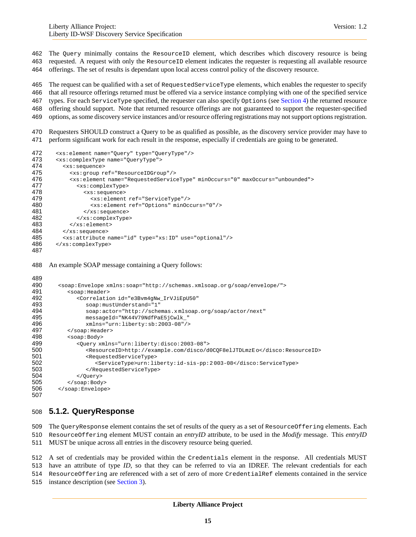- The Query minimally contains the ResourceID element, which describes which discovery resource is being requested. A request with only the ResourceID element indicates the requester is requesting all available resource
- offerings. The set of results is dependant upon local access control policy of the discovery resource.

 The request can be qualified with a set of RequestedServiceType elements, which enables the requester to specify that all resource offerings returned must be offered via a service instance complying with one of the specified service types. For each ServiceType specified, the requester can also specify Options (see [Section 4\)](#page-11-0) the returned resource offering should support. Note that returned resource offerings are not guaranteed to support the requester-specified options, as some discovery service instances and/or resource offering registrations may not support options registration.

 Requesters SHOULD construct a Query to be as qualified as possible, as the discovery service provider may have to perform significant work for each result in the response, especially if credentials are going to be generated.

```
472 <xs:element name="Query" type="QueryType"/><br>473 <xs:complexType name="OueryType">
        473 <xs:complexType name="QueryType">
474 <xs:sequence>
475 <xs:group ref="ResourceIDGroup"/>
             476 <xs:element name="RequestedServiceType" minOccurs="0" maxOccurs="unbounded">
477 <xs:complexType>
478 <xs:sequence>
479 <xs:element ref="ServiceType"/><br>480 <xs:element ref="Options" minOcc
480 \langle x s :element ref="Options" minOccurs="0"/><br>481 \langle x s :sequence>
                 481 </xs:sequence>
482 </xs:complexType>
483 </xs:element><br>484 </xs:sequence>
          484 </xs:sequence>
485 <xs:attribute name="id" type="xs:ID" use="optional"/>
486 </xs:complexType>
487
```
An example SOAP message containing a Query follows:

```
489<br>490
490 <soap:Envelope xmlns:soap="http://schemas.xmlsoap.or g/soap/envelope/">
491 <soap:Header><br>492 <correlatio
            492 <Correlation id="e3Bvm4gNw_IrVJiEpU50"
493 soap:mustUnderstand="1"
494 soap:actor="http://schemas.x mlsoap.org/soap/actor/next"
              495 messageId="NK44V79NdfPaE5jCwlk_"
496 xmlns="urn:liberty:sb:2003-08"/>
497 </soap: Header>
498 <soap:Body>
            499 <Query xmlns="urn:liberty:disco:2003-08">
500 <ResourceID>http://example.com/disco/d0CQF8elJTDLmzE o</disco:ResourceID>
501 <RequestedServiceType>
502 <ServiceType>urn:liberty:id-sis-pp:2 003-08</disco:ServiceType>
               503 </RequestedServiceType>
504 </Query>
505 </soap:Body>
506 </soap:Envelope>
507
```
### <span id="page-14-0"></span>**5.1.2. QueryResponse**

 The QueryResponse element contains the set of results of the query as a set of ResourceOffering elements. Each ResourceOffering element MUST contain an *entryID* attribute, to be used in the *Modify* message. This *entryID* MUST be unique across all entries in the discovery resource being queried.

 A set of credentials may be provided within the Credentials element in the response. All credentials MUST have an attribute of type *ID*, so that they can be referred to via an IDREF. The relevant credentials for each ResourceOffering are referenced with a set of zero of more CredentialRef elements contained in the service instance description (see [Section 3\)](#page-8-0).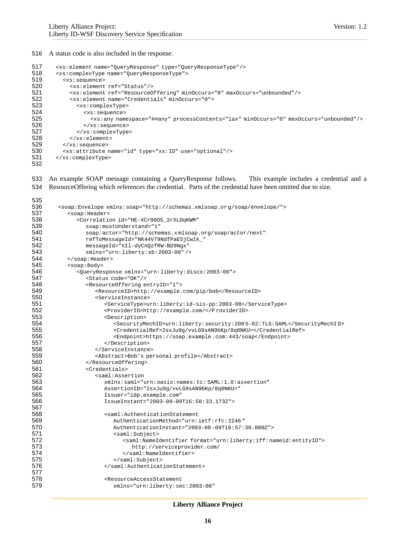#### A status code is also included in the response.

```
517 <xs:element name="QueryResponse" type="QueryResponseType"/>
518 <xs:complexType name="QueryResponseType">
519 <xs:sequence>
520 <xs:element ref="Status"/><br>521 <xs:element ref="Resource0
            521 <xs:element ref="ResourceOffering" minOccurs="0" maxOccurs="unbounded"/>
522 <xs:element name="Credentials" minOccurs="0">
523 <xs:complexType>
524 <xs:sequence><br>525 <xs:any nam
                  525 <xs:any namespace="##any" processContents="lax" minOccurs="0" maxOccurs="unbounded"/>
526 </xs:sequence>
527 </xs:complexType>
528 \langle x s : element><br>529 \langle x s : sequence>
         529 </xs:sequence>
530 <xs:attribute name="id" type="xs:ID" use="optional"/>
531 </xs:complexType>
532
```
 An example SOAP message containing a QueryResponse follows. This example includes a credential and a ResourceOffering which references the credential. Parts of the credential have been omitted due to size.

```
535<br>536
536 <soap:Envelope xmlns:soap="http://schemas.xmlsoap.or g/soap/envelope/">
537 <soap:Header><br>538 <correlatio
             538 <Correlation id="HE-XCr00O5_3rXLDqKWM"
539 soap:mustUnderstand="1"
540 soap:actor="http://schemas.xmlsoap.org/soap/actor/next"<br>541 sefToMessageId="NK44V79NdfPaE5jCwlk "
541 refToMessageId="NK44V79NdfPaE5jCwlk_"
               542 messageId="XIl-dyCnQzfRW-BD9Ngx"
543 xmlns="urn:liberty:sb:2003-08" />
544 </soap:Header><br>545 <soap:Body>
545 <soap:Body>
546 <QueryResponse xmlns="urn:liberty:disco:2003-08">
547 < Status code="OK"/><br>548 < status code="OK"/>
548 <ResourceOffering entryID="1"><br>549 <ResourceID>http://example.
549 <ResourceID>http://example.com/pip/bob</ResourceID><br>550 <ServiceInstance>
                  550 <ServiceInstance>
551 <ServiceType>urn:liberty:id-sis-pp:2003-08</ServiceType>
552 <providerID>http://example.com/</P roviderID><br>553 <pescription>
                     553 <Description>
554 <SecurityMechID>urn:liberty:security:200 5-02:TLS:SAML</SecurityMechI D>
555 <CredentialRef>2sxJu9g/vvLG9sAN9bKp/8q0NKU=</CredentialRef><br>556 <Endpoint>https://soap.example.com:443/soap</Endpoint>
556 <endpoint>https://soap.example.com:443/soap</Endpoint><br>557 </bescription>
                     557 </Description>
558 </ServiceInstance>
559 <Abstract>Bob's personal profile</Abstract>
560 </resourceOffering><br>561 <credentials>
                <Credentials>
562 <saml:Assertion
563 xmlns:saml="urn:oasis:names:tc: SAML:1.0:assertion"
564 AssertionID="2sxJu9g/vvLG9sAN9bKp/8q0NKU="
                     565 Issuer="idp.example.com"
566 IssueInstant="2003-09-09T16:58:33.173Z">
567
568 <saml:AuthenticationStatement<br>569 MuthenticationMethod="urn:
                        569 AuthenticationMethod="urn:ietf:rfc:2246 "
570 AuthenticationInstant="2003-09 -09T16:57:30.000Z">
571 <saml:Subject>
572 \langle \text{saml:NameIdentifier format="urn:liberty:iff: nameid:entityID" > \text{http://serviceprovider.com/}http://serviceprovider.com/
574 </saml:NameIdentifier>
575 </saml:Subject>
576 </saml:AuthenticationStatement>
577
578 <ResourceAccessStatement
                        579 xmlns="urn:liberty:sec:2003-08"
```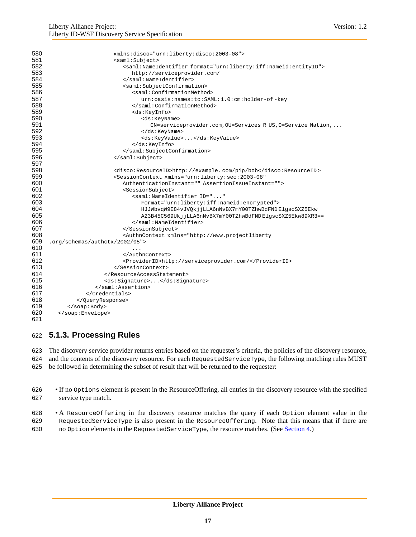| 580 | xmlns:disco="urn:liberty:disco:2003-08">                                                                                                                      |
|-----|---------------------------------------------------------------------------------------------------------------------------------------------------------------|
| 581 | <saml:subject></saml:subject>                                                                                                                                 |
| 582 | <saml:nameidentifier format="urn:liberty:iff:nameid:entityID"></saml:nameidentifier>                                                                          |
| 583 | http://serviceprovider.com/                                                                                                                                   |
| 584 |                                                                                                                                                               |
| 585 | <saml:subjectconfirmation></saml:subjectconfirmation>                                                                                                         |
| 586 | <saml:confirmationmethod></saml:confirmationmethod>                                                                                                           |
| 587 | urn:oasis:names:tc:SAML:1.0:cm:holder-of-key                                                                                                                  |
| 588 |                                                                                                                                                               |
| 589 | <ds:keyinfo></ds:keyinfo>                                                                                                                                     |
| 590 | <ds:keyname></ds:keyname>                                                                                                                                     |
| 591 | CN=serviceprovider.com, OU=Services R US, O=Service Nation,                                                                                                   |
| 592 |                                                                                                                                                               |
| 593 | <ds:keyvalue></ds:keyvalue>                                                                                                                                   |
| 594 |                                                                                                                                                               |
| 595 |                                                                                                                                                               |
| 596 |                                                                                                                                                               |
| 597 |                                                                                                                                                               |
| 598 | <disco:resourceid>http://example.com/pip/bob</disco:resourceid>                                                                                               |
| 599 | <sessioncontext <="" th="" xmlns="urn:liberty:sec:2003-08"></sessioncontext>                                                                                  |
| 600 | AuthenticationInstant="" AssertionIssueInstant="">                                                                                                            |
| 601 | <sessionsubject></sessionsubject>                                                                                                                             |
| 602 | <saml:nameidentifier <="" id="" th=""></saml:nameidentifier>                                                                                                  |
| 603 | Format="urn:liberty:iff:nameid:encrypted">                                                                                                                    |
| 604 | HJJWbvqW9E84vJVQkjjLLA6nNvBX7mY00TZhwBdFNDElgscSXZ5Ekw                                                                                                        |
| 605 | A23B45C569UkjjLLA6nNvBX7mY00TZhwBdFNDElgscSXZ5Ekw89XR3==                                                                                                      |
| 606 |                                                                                                                                                               |
| 607 |                                                                                                                                                               |
| 608 | <authncontext xmlns="http://www.projectliberty&lt;/th&gt;&lt;/tr&gt;&lt;tr&gt;&lt;th&gt;609&lt;/th&gt;&lt;th&gt;.org/schemas/authctx/2002/05"></authncontext> |
| 610 | $\sim$ $\sim$ $\sim$                                                                                                                                          |
| 611 |                                                                                                                                                               |
| 612 | <providerid>http://serviceprovider.com/</providerid>                                                                                                          |
| 613 |                                                                                                                                                               |
| 614 |                                                                                                                                                               |
| 615 | <ds:signature></ds:signature>                                                                                                                                 |
| 616 |                                                                                                                                                               |
| 617 |                                                                                                                                                               |
| 618 |                                                                                                                                                               |
| 619 |                                                                                                                                                               |
| 620 |                                                                                                                                                               |
| 621 |                                                                                                                                                               |

### **5.1.3. Processing Rules**

 The discovery service provider returns entries based on the requester's criteria, the policies of the discovery resource, and the contents of the discovery resource. For each RequestedServiceType, the following matching rules MUST be followed in determining the subset of result that will be returned to the requester:

- If no Options element is present in the ResourceOffering, all entries in the discovery resource with the specified service type match.
- A ResourceOffering in the discovery resource matches the query if each Option element value in the RequestedServiceType is also present in the ResourceOffering. Note that this means that if there are no Option elements in the RequestedServiceType, the resource matches. (See [Section 4.](#page-11-0))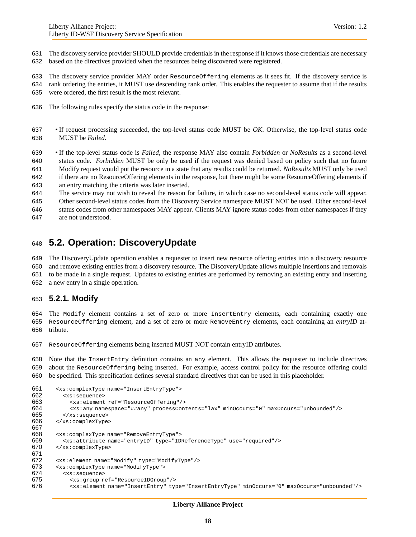The discovery service provider SHOULD provide credentials in the response if it knows those credentials are necessary based on the directives provided when the resources being discovered were registered.

 The discovery service provider MAY order ResourceOffering elements as it sees fit. If the discovery service is rank ordering the entries, it MUST use descending rank order. This enables the requester to assume that if the results were ordered, the first result is the most relevant.

- The following rules specify the status code in the response:
- If request processing succeeded, the top-level status code MUST be *OK*. Otherwise, the top-level status code MUST be *Failed*.

 • If the top-level status code is *Failed*, the response MAY also contain *Forbidden* or *NoResults* as a second-level status code. *Forbidden* MUST be only be used if the request was denied based on policy such that no future Modify request would put the resource in a state that any results could be returned. *NoResults* MUST only be used if there are no ResourceOffering elements in the response, but there might be some ResourceOffering elements if an entry matching the criteria was later inserted.

 The service may not wish to reveal the reason for failure, in which case no second-level status code will appear. Other second-level status codes from the Discovery Service namespace MUST NOT be used. Other second-level

 status codes from other namespaces MAY appear. Clients MAY ignore status codes from other namespaces if they are not understood.

### **5.2. Operation: DiscoveryUpdate**

 The DiscoveryUpdate operation enables a requester to insert new resource offering entries into a discovery resource and remove existing entries from a discovery resource. The DiscoveryUpdate allows multiple insertions and removals

 to be made in a single request. Updates to existing entries are performed by removing an existing entry and inserting a new entry in a single operation.

### <span id="page-17-0"></span>**5.2.1. Modify**

 The Modify element contains a set of zero or more InsertEntry elements, each containing exactly one ResourceOffering element, and a set of zero or more RemoveEntry elements, each containing an *entryID* at-tribute.

ResourceOffering elements being inserted MUST NOT contain entryID attributes.

 Note that the InsertEntry definition contains an any element. This allows the requester to include directives about the ResourceOffering being inserted. For example, access control policy for the resource offering could be specified. This specification defines several standard directives that can be used in this placeholder.

```
661 <xs:complexType name="InsertEntryType"><br>662 <xs:sequence>
          662 <xs:sequence>
663 <xs:element ref="ResourceOffering"/>
664 <xs:any namespace="##any" processContents="lax" minOccurs="0" maxOccurs="unbounded"/>
665 \langle x s : \text{sequence} \rangle<br>666 \langle x s : \text{complete} \rangle666 </xs:complexType>
667
668 <xs:complexType name="RemoveEntryType">
669 \leq xs:attribute name="entryID" type="IDReferenceType" use="required"/><br>670 \leq xs:complexType>
        670 </xs:complexType>
671
672 <xs:element name="Modify" type="ModifyType"/>
673 <xs:complexType name="ModifyType">
674 <xs:sequence>
             675 <xs:group ref="ResourceIDGroup"/>
676 <xs:element name="InsertEntry" type="InsertEntryType" minOccurs="0" maxOccurs="unbounded"/>
```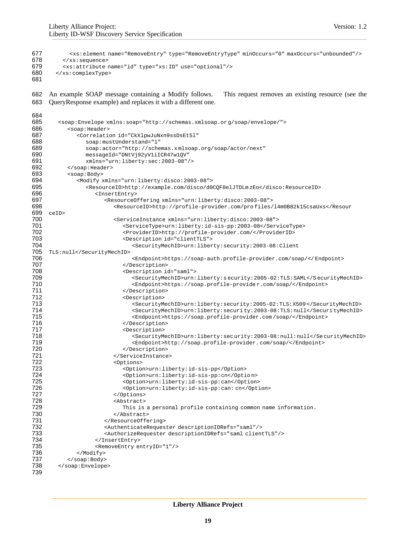```
677 <xs:element name="RemoveEntry" type="RemoveEntryType" minOccurs="0" maxOccurs="unbounded"/>
678 </xs:sequence><br>679 <xs:attribute
          679 <xs:attribute name="id" type="xs:ID" use="optional"/>
680 </xs:complexType>
681
682 An example SOAP message containing a Modify follows. This request removes an existing resource (see the
683 QueryResponse example) and replaces it with a different one.
684<br>685
         685 <soap:Envelope xmlns:soap="http://schemas.xmlsoap.or g/soap/envelope/">
686 <soap: Header>
687 <Correlation id="CkXlpwJuNxn9ssDsEt5l"<br>688 soap:mustUnderstand="1"
688 soap:mustUnderstand="1"<br>689 soap:actor="http://sche
689 soap:actor="http://schemas.xmlsoap.org/soap/actor/next"<br>690 messageId="DNtVj92vVliICR47w10V"
690 messageId="DNtVj92yV1iICR47w1QV"<br>691 mmlns="urn:liberty:sec:2003-08"
                  691 xmlns="urn:liberty:sec:2003-08"/>
692 </soap:Header><br>693 <soap:Body>
            693 <soap:Body>
694 <Modify xmlns="urn:liberty:disco:2003-08">
695 <resourceID>http://example.com/disco/d0CQF8elJTDLm zEo</disco:ResourceID><br>696 <<rr/>InsertEntry>
696 <InsertEntry>
697 (ResourceOffering xmlns="urn:liberty:disco:2003-08"><br>698 (ResourceID>http://profile-provider.com/profiles
                            698 <ResourceID>http://profile-provider.com/pro files/l4m0B82k15csaUxs</Resour
699 ceID>
700 <ServiceInstance xmlns="urn:liberty:disco:2003-08">
                               701 <ServiceType>urn:liberty:id-sis-pp:2003-08</ServiceType>
702 <ProviderID>http://profile-provider.com/</ProviderID><br>703 <pescription id="clientTLS">
703 <Description id="clientTLS">
                                  704 <SecurityMechID>urn:liberty:security:2003-08:Client
705 TLS:null</SecurityMechID><br>706
706 <Endpoint>https://soap-auth.profile-provider.com/soap/</ Endpoint>
707 </Description>
708 <Description id="saml"><br>709 <br/>>SecurityMechID>urn:
                                  709 <SecurityMechID>urn:liberty:s ecurity:2005-02:TLS:SAML</S ecurityMechID>
710 <Endpoint>https://soap.profile-provide r.com/soap/</Endpoint>
711 </a>
value </a>
value </a>
value </a>
value </a>
value </a>
value </a>
value </a>
value </a>
value </a>
value </a>
value </a>
value </a>
value </a>
value </a>
value </a>
value </a>
value </a>
value </a>
value </a>
valu
712 <Description><br>713 <Description>
713 <SecurityMechID>urn:liberty:security:2005-02:TLS:X509</SecurityMechID><br>714 <SecurityMechID>urn:liberty:security:2003-08:TLS:null</SecurityMechID>
714 <SecurityMechID>urn:liberty:security:2003-08:TLS:null</Securi tyMechID><br>715 <Endpoint>https://soap.profile-provider.com/soap/</Endpoint>
                                  715 <Endpoint>https://soap.profile-provider.com /soap/</Endpoint>
716 </bescription><br>717 <br/>
Superintion>
717 <Description>
718 <SecurityMechID>urn:liberty:security:2003-08:null:null</SecurityMechID><br>719 <Endpoint>http://soap.profile-provider.com/soap/</Endpoint>
719 <Endpoint>http://soap.profile-provider. com/soap/</Endpoint>
                               720 </Description>
721 </ServiceInstance>
722 <Options>
                               723 <Option>urn:liberty:id-sis-pp</Option>
724 <Option>urn:liberty:id-sis-pp:cn</Option><br>725 <coption>urn:liberty:id-sis-pp:can</Option>
                               725 <Option>urn:liberty:id-sis-pp:can</Option>
726 <Option>urn:liberty:id-sis-pp:can: cn</Option><br>727 </Options>
                            </Options>
728 <Abstract>
729 This is a personal profile containing common name information.<br>730 Sanda California (2005)
730 </Abstract>
                         731 </ResourceOffering>
732 <AuthenticateRequester descriptionIDRefs="saml"/><br>733 <AuthorizeRequester descriptionIDRefs="saml client
                         733 <AuthorizeRequester descriptionIDRefs="saml clientTLS"/>
734 </InsertEntry><br>735 <waxtEntry e</a>
                     735 <RemoveEntry entryID="1"/>
736 </Modify>
737 </soap:Body><br>738 </soap:Envelope
         738 </soap:Envelope>
739
```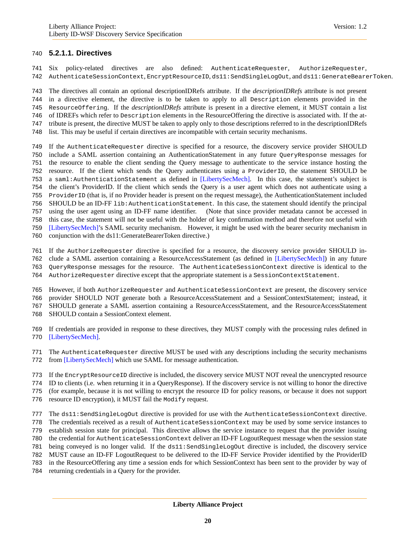#### **5.2.1.1. Directives**

 Six policy-related directives are also defined: AuthenticateRequester, AuthorizeRequester, AuthenticateSessionContext, EncryptResourceID, ds11:SendSingleLogOut, and ds11:GenerateBearerToken.

 The directives all contain an optional descriptionIDRefs attribute. If the *descriptionIDRefs* attribute is not present in a directive element, the directive is to be taken to apply to all Description elements provided in the ResourceOffering. If the *descriptionIDRefs* attribute is present in a directive element, it MUST contain a list of IDREFs which refer to Description elements in the ResourceOffering the directive is associated with. If the at- tribute is present, the directive MUST be taken to apply only to those descriptions referred to in the descriptionIDRefs list. This may be useful if certain directives are incompatible with certain security mechanisms.

- If the AuthenticateRequester directive is specified for a resource, the discovery service provider SHOULD include a SAML assertion containing an AuthenticationStatement in any future QueryResponse messages for the resource to enable the client sending the Query message to authenticate to the service instance hosting the resource. If the client which sends the Query authenticates using a ProviderID, the statement SHOULD be a saml:AuthenticationStatement as defined in [\[LibertySecMech\].](#page-31-7) In this case, the statement's subject is the client's ProviderID. If the client which sends the Query is a user agent which does not authenticate using a ProviderID (that is, if no Provider header is present on the request message), the AuthenticationStatement included 756 SHOULD be an ID-FF lib: AuthenticationStatement. In this case, the statement should identify the principal using the user agent using an ID-FF name identifier. (Note that since provider metadata cannot be accessed in this case, the statement will not be useful with the holder of key confirmation method and therefore not useful with [\[LibertySecMech\]'](#page-31-7)s SAML security mechanism. However, it might be used with the bearer security mechanism in conjunction with the ds11:GenerateBearerToken directive.)
- If the AuthorizeRequester directive is specified for a resource, the discovery service provider SHOULD in-
- clude a SAML assertion containing a ResourceAccessStatement (as defined in [\[LibertySecMech\]\)](#page-31-7) in any future
- QueryResponse messages for the resource. The AuthenticateSessionContext directive is identical to the
- AuthorizeRequester directive except that the appropriate statement is a SessionContextStatement.
- However, if both AuthorizeRequester and AuthenticateSessionContext are present, the discovery service provider SHOULD NOT generate both a ResourceAccessStatement and a SessionContextStatement; instead, it SHOULD generate a SAML assertion containing a ResourceAccessStatement, and the ResourceAccessStatement SHOULD contain a SessionContext element.
- 
- If credentials are provided in response to these directives, they MUST comply with the processing rules defined in [\[LibertySecMech\].](#page-31-7)
- The AuthenticateRequester directive MUST be used with any descriptions including the security mechanisms from [\[LibertySecMech\]](#page-31-7) which use SAML for message authentication.
- If the EncryptResourceID directive is included, the discovery service MUST NOT reveal the unencrypted resource
- ID to clients (i.e. when returning it in a QueryResponse). If the discovery service is not willing to honor the directive

(for example, because it is not willing to encrypt the resource ID for policy reasons, or because it does not support

- resource ID encryption), it MUST fail the Modify request.
- 777 The ds11: SendSingleLogOut directive is provided for use with the AuthenticateSessionContext directive.
- The credentials received as a result of AuthenticateSessionContext may be used by some service instances to
- establish session state for principal. This directive allows the service instance to request that the provider issuing
- the credential for AuthenticateSessionContext deliver an ID-FF LogoutRequest message when the session state
- being conveyed is no longer valid. If the ds11:SendSingleLogOut directive is included, the discovery service
- MUST cause an ID-FF LogoutRequest to be delivered to the ID-FF Service Provider identified by the ProviderID
- in the ResourceOffering any time a session ends for which SessionContext has been sent to the provider by way of
- returning credentials in a Query for the provider.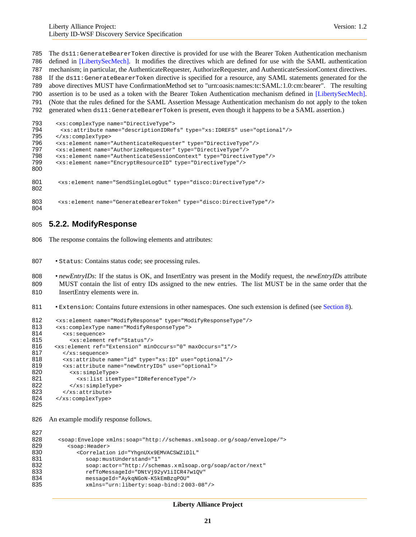The ds11:GenerateBearerToken directive is provided for use with the Bearer Token Authentication mechanism defined in [\[LibertySecMech\].](#page-31-7) It modifies the directives which are defined for use with the SAML authentication mechanism; in particular, the AuthenticateRequester, AuthorizeRequester, and AuthenticateSessionContext directives. If the ds11:GenerateBearerToken directive is specified for a resource, any SAML statements generated for the above directives MUST have ConfirmationMethod set to "urn:oasis:names:tc:SAML:1.0:cm:bearer". The resulting assertion is to be used as a token with the Bearer Token Authentication mechanism defined in [\[LibertySecMech\].](#page-31-7) (Note that the rules defined for the SAML Assertion Message Authentication mechanism do not apply to the token generated when ds11:GenerateBearerToken is present, even though it happens to be a SAML assertion.) <xs:complexType name="DirectiveType"> <xs:attribute name="descriptionIDRefs" type="xs:IDREFS" use="optional"/> </xs:complexType>

```
796 <xs:element name="AuthenticateRequester" type="DirectiveType"/><br>797 <xs:element name="AuthorizeRequester" type="DirectiveType"/>
797 <xs:element name="AuthorizeRequester" type="DirectiveType"/>
        798 <xs:element name="AuthenticateSessionContext" type="DirectiveType"/>
799 <xs:element name="EncryptResourceID" type="DirectiveType"/>
800
801 <xs:element name="SendSingleLogOut" type="disco:DirectiveType"/>
802
803 <xs:element name="GenerateBearerToken" type="disco:DirectiveType"/>
804
```
### **5.2.2. ModifyResponse**

The response contains the following elements and attributes:

- 807 Status: Contains status code; see processing rules.
- *newEntryIDs*: If the status is OK, and InsertEntry was present in the Modify request, the *newEntryIDs* attribute MUST contain the list of entry IDs assigned to the new entries. The list MUST be in the same order that the InsertEntry elements were in.
- Extension: Contains future extensions in other namespaces. One such extension is defined (see [Section 8\)](#page-24-0).

```
812 <xs:element name="ModifyResponse" type="ModifyResponseType"/>
813 <xs:complexType name="ModifyResponseType">
814 <xs: sequence>
815 <xs:element ref="Status"/>
816 <xs:element ref="Extension" minOccurs="0" maxOccurs="1"/>
817 </xs:sequence>
818 <xs:attribute name="id" type="xs:ID" use="optional"/>
819 <xs:attribute name="newEntryIDs" use="optional"><br>820 <xs:simpleType>
            820 <xs:simpleType>
821 <xs:list itemType="IDReferenceType"/><br>822 </xs:simpleType>
            822 </xs:simpleType>
823 \times /xs: attribute><br>824 \times /xs: complexType>
        824 </xs:complexType>
```
An example modify response follows.

```
827<br>828
       828 <soap:Envelope xmlns:soap="http://schemas.xmlsoap.or g/soap/envelope/">
829 <soap: Header>
830 <Correlation id="YhgnUXx9EMVACSWZiDlL"
831 soap:mustUnderstand="1"
832 soap:actor="http://schemas.x mlsoap.org/soap/actor/next"
833 refToMessageId="DNtVj92yV1iICR47w1QV"
834 messageId="AykqNGoN-K5kEmBzqPOU"
              835 xmlns="urn:liberty:soap-bind:2 003-08"/>
```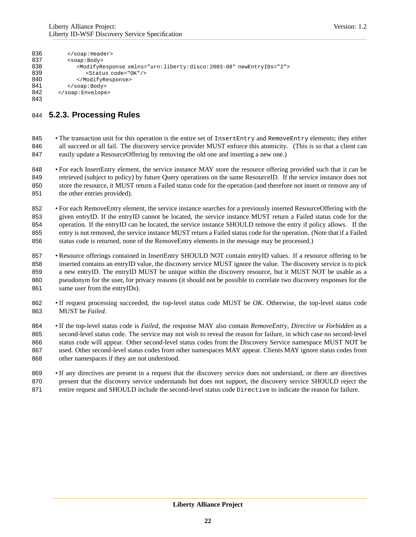| 836 |                                                                                     |
|-----|-------------------------------------------------------------------------------------|
| 837 | <soap:body></soap:body>                                                             |
| 838 | <modifyresponse newentryids="2" xmlns="urn:liberty:disco:2003-08"></modifyresponse> |
| 839 | <status code="0K"></status>                                                         |
| 840 |                                                                                     |
| 841 | $\langle$ soap: Body>                                                               |
| 842 |                                                                                     |
| 843 |                                                                                     |

### **5.2.3. Processing Rules**

845 • The transaction unit for this operation is the entire set of InsertEntry and RemoveEntry elements; they either 846 all succeed or all fail. The discovery service provider MUST enforce this atomicity. (This is so that a client can easily update a ResourceOffering by removing the old one and inserting a new one.)

 • For each InsertEntry element, the service instance MAY store the resource offering provided such that it can be retrieved (subject to policy) by future Query operations on the same ResourceID. If the service instance does not store the resource, it MUST return a Failed status code for the operation (and therefore not insert or remove any of 851 the other entries provided).

 • For each RemoveEntry element, the service instance searches for a previously inserted ResourceOffering with the given entryID. If the entryID cannot be located, the service instance MUST return a Failed status code for the operation. If the entryID can be located, the service instance SHOULD remove the entry if policy allows. If the entry is not removed, the service instance MUST return a Failed status code for the operation. (Note that if a Failed 856 status code is returned, none of the RemoveEntry elements in the message may be processed.)

 • Resource offerings contained in InsertEntry SHOULD NOT contain entryID values. If a resource offering to be inserted contains an entryID value, the discovery service MUST ignore the value. The discovery service is to pick a new entryID. The entryID MUST be unique within the discovery resource, but it MUST NOT be usable as a pseudonym for the user, for privacy reasons (it should not be possible to correlate two discovery responses for the 861 same user from the entryIDs).

 • If request processing succeeded, the top-level status code MUST be *OK*. Otherwise, the top-level status code MUST be *Failed*.

 • If the top-level status code is *Failed*, the response MAY also contain *RemoveEntry*, *Directive* or *Forbidden* as a second-level status code. The service may not wish to reveal the reason for failure, in which case no second-level status code will appear. Other second-level status codes from the Discovery Service namespace MUST NOT be used. Other second-level status codes from other namespaces MAY appear. Clients MAY ignore status codes from other namespaces if they are not understood.

 • If any directives are present in a request that the discovery service does not understand, or there are directives 870 present that the discovery service understands but does not support, the discovery service SHOULD reject the 871 entire request and SHOULD include the second-level status code Directive to indicate the reason for failure.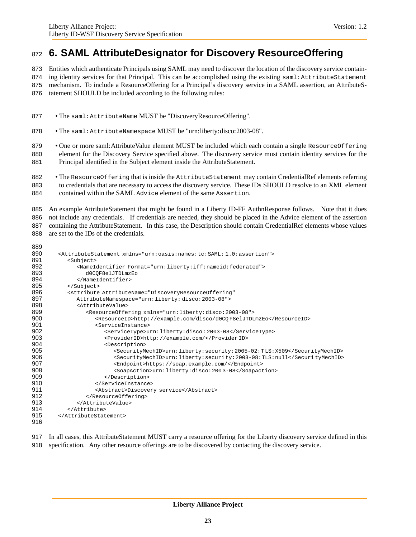# <span id="page-22-0"></span>**6. SAML AttributeDesignator for Discovery ResourceOffering**

Entities which authenticate Principals using SAML may need to discover the location of the discovery service contain-

874 ing identity services for that Principal. This can be accomplished using the existing saml: AttributeStatement mechanism. To include a ResourceOffering for a Principal's discovery service in a SAML assertion, an AttributeS-

tatement SHOULD be included according to the following rules:

- 877 The saml: AttributeName MUST be "Discovery Resource Offering".
- The saml:AttributeNamespace MUST be "urn:liberty:disco:2003-08".

879 • One or more saml: AttributeValue element MUST be included which each contain a single ResourceOffering element for the Discovery Service specified above. The discovery service must contain identity services for the Principal identified in the Subject element inside the AttributeStatement.

882 • The Resource Offering that is inside the Attribute Statement may contain CredentialRef elements referring to credentials that are necessary to access the discovery service. These IDs SHOULD resolve to an XML element contained within the SAML Advice element of the same Assertion.

885 An example AttributeStatement that might be found in a Liberty ID-FF AuthnResponse follows. Note that it does not include any credentials. If credentials are needed, they should be placed in the Advice element of the assertion containing the AttributeStatement. In this case, the Description should contain CredentialRef elements whose values

are set to the IDs of the credentials.

 $\sim$ 

| 889 |                                                                                         |
|-----|-----------------------------------------------------------------------------------------|
| 890 | <attributestatement xmlns="urn:oasis:names:tc:SAML:1.0:assertion"></attributestatement> |
| 891 | <subject></subject>                                                                     |
| 892 | <nameidentifier format="urn:liberty:iff:nameid:federated"></nameidentifier>             |
| 893 | d0COF8elJTDLmzEo                                                                        |
| 894 |                                                                                         |
| 895 |                                                                                         |
| 896 | <attribute <="" attributename="DiscoveryResourceOffering" th=""></attribute>            |
| 897 | AttributeNamespace="urn:liberty:disco:2003-08">                                         |
| 898 | <attributevalue></attributevalue>                                                       |
| 899 | <resourceoffering xmlns="urn:liberty:disco:2003-08"></resourceoffering>                 |
| 900 | <resourceid>http://example.com/disco/d0COF8elJTDLmzEo</resourceid>                      |
| 901 | <serviceinstance></serviceinstance>                                                     |
| 902 | <servicetype>urn:liberty:disco:2003-08</servicetype>                                    |
| 903 | <providerid>http://example.com/</providerid>                                            |
| 904 | <description></description>                                                             |
| 905 | <securitymechid>urn:liberty:security:2005-02:TLS:X509</securitymechid>                  |
| 906 | <securitymechid>urn:liberty:security:2003-08:TLS:null</securitymechid>                  |
| 907 | <endpoint>https://soap.example.com/</endpoint>                                          |
| 908 | <soapaction>urn:liberty:disco:2003-08</soapaction>                                      |
| 909 |                                                                                         |
| 910 |                                                                                         |
| 911 | <abstract>Discovery service</abstract>                                                  |
| 912 |                                                                                         |
| 913 |                                                                                         |
| 914 |                                                                                         |
| 915 |                                                                                         |
| 916 |                                                                                         |
|     |                                                                                         |

- In all cases, this AttributeStatement MUST carry a resource offering for the Liberty discovery service defined in this
- specification. Any other resource offerings are to be discovered by contacting the discovery service.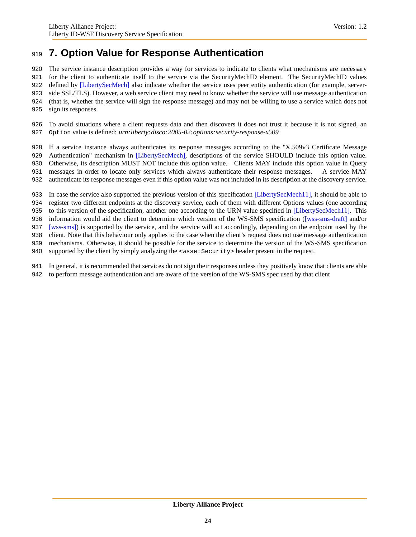# <span id="page-23-0"></span>**7. Option Value for Response Authentication**

 The service instance description provides a way for services to indicate to clients what mechanisms are necessary for the client to authenticate itself to the service via the SecurityMechID element. The SecurityMechID values defined by [\[LibertySecMech\]](#page-31-7) also indicate whether the service uses peer entity authentication (for example, server- side SSL/TLS). However, a web service client may need to know whether the service will use message authentication (that is, whether the service will sign the response message) and may not be willing to use a service which does not sign its responses.

 To avoid situations where a client requests data and then discovers it does not trust it because it is not signed, an Option value is defined: *urn:liberty:disco:2005-02:options:security-response-x509*

If a service instance always authenticates its response messages according to the "X.509v3 Certificate Message

929 Authentication" mechanism in [\[LibertySecMech\],](#page-31-7) descriptions of the service SHOULD include this option value.

Otherwise, its description MUST NOT include this option value. Clients MAY include this option value in Query

messages in order to locate only services which always authenticate their response messages. A service MAY

authenticate its response messages even if this option value was not included in its description at the discovery service.

 In case the service also supported the previous version of this specification [\[LibertySecMech11\],](#page-31-9) it should be able to register two different endpoints at the discovery service, each of them with different Options values (one according 935 to this version of the specification, another one according to the URN value specified in [\[LibertySecMech11\].](#page-31-9) This information would aid the client to determine which version of the WS-SMS specification [\(\[wss-sms-draft\]](#page-31-10) and/or [\[wss-sms\]\)](#page-31-11) is supported by the service, and the service will act accordingly, depending on the endpoint used by the client. Note that this behaviour only applies to the case when the client's request does not use message authentication mechanisms. Otherwise, it should be possible for the service to determine the version of the WS-SMS specification

940 supported by the client by simply analyzing the  $\langle$ wsse: Security> header present in the request.

 In general, it is recommended that services do not sign their responses unless they positively know that clients are able to perform message authentication and are aware of the version of the WS-SMS spec used by that client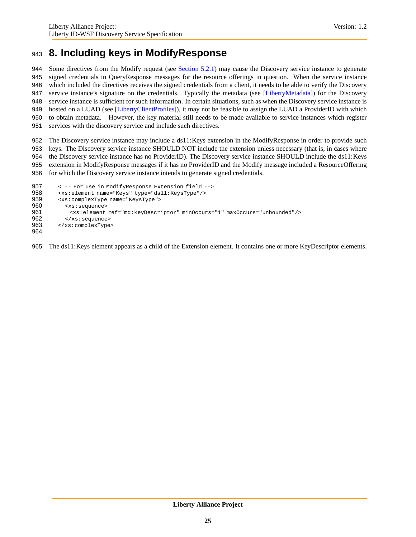# <span id="page-24-0"></span>**8. Including keys in ModifyResponse**

 Some directives from the Modify request (see [Section 5.2.1\)](#page-17-0) may cause the Discovery service instance to generate signed credentials in QueryResponse messages for the resource offerings in question. When the service instance which included the directives receives the signed credentials from a client, it needs to be able to verify the Discovery service instance's signature on the credentials. Typically the metadata (see [\[LibertyMetadata\]\)](#page-31-5) for the Discovery service instance is sufficient for such information. In certain situations, such as when the Discovery service instance is hosted on a LUAD (see [\[LibertyClientProfiles\]\)](#page-31-12), it may not be feasible to assign the LUAD a ProviderID with which to obtain metadata. However, the key material still needs to be made available to service instances which register services with the discovery service and include such directives.

 The Discovery service instance may include a ds11:Keys extension in the ModifyResponse in order to provide such keys. The Discovery service instance SHOULD NOT include the extension unless necessary (that is, in cases where 954 the Discovery service instance has no ProviderID). The Discovery service instance SHOULD include the ds11:Keys extension in ModifyResponse messages if it has no ProviderID and the Modify message included a ResourceOffering for which the Discovery service instance intends to generate signed credentials.

```
957 <!-- For use in ModifyResponse Extension field -->
958 <xs:element name="Keys" type="ds11:KeysType"/>
959 <xs:complexType name="KeysType">
960 <xs:sequence>
961 <xs:element ref="md:KeyDescriptor" minOccurs="1" maxOccurs="unbounded"/>
962 </xs:sequence>
963 </xs:complexType>
964
```
The ds11:Keys element appears as a child of the Extension element. It contains one or more KeyDescriptor elements.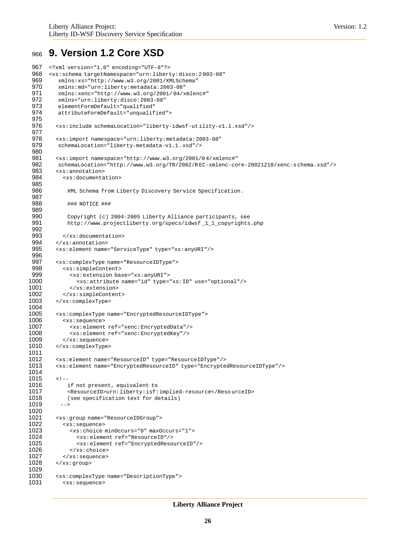### <span id="page-25-0"></span><sup>966</sup> **9. Version 1.2 Core XSD**

```
967 <?xml version="1.0" encoding="UTF-8"?>
       968 <xs:schema targetNamespace="urn:liberty:disco:2 003-08"
 969 xmlns:xs="http://www.w3.org/2001/XMLSchema"
 970 xmlns:md="urn:liberty:metadata:2003-08"<br>971 xmlns:xenc="http://www.w3.org/2001/04/x
 971 xmlns:xenc="http://www.w3.org/2001/04/xmlenc#"<br>972 xmlns="urn:liberty:disco:2003-08"
 972 xmlns="urn:liberty:disco:2003-08"<br>973 elementFormDefault="qualified"
 973 elementFormDefault="qualified"
           974 attributeFormDefault="unqualified">
 975
 976 <xs:include schemaLocation="liberty-idwsf-ut ility-v1.1.xsd"/>
 977
 978 <xs:import namespace="urn:liberty:metadata:2003-08"<br>979 schemaLocation="liberty-metadata-v1.1.xsd"/>
           979 schemaLocation="liberty-metadata-v1.1 .xsd"/>
 980
 981 <xs:import namespace="http://www.w3.org/2001/04/xmlenc#"<br>982 schemaLocation="http://www.w3.org/TR/2002/REC-xmlenc-co
 982 schemaLocation="http://www.w3.org/TR/2002/REC-xmlenc-core-20021210/xenc-s chema.xsd"/><br>983 sxs:annotation>
 983 <xs:annotation><br>984 <xs:documenta
             984 <xs:documentation>
 985
               XML Schema from Liberty Discovery Service Specification.
 987
 988 ### NOTICE ###
 989
               Copyright (c) 2004-2005 Liberty Alliance participants, see
 991 http://www.projectliberty.org/specs/idwsf _1_1_copyrights.php
 992
 993 \langle x s: documentation ><br>994 \langle x s: annotation \rangle994 </xs:annotation><br>995 <xs:element name
           995 <xs:element name="ServiceType" type="xs:anyURI"/>
 996
 997 <xs:complexType name="ResourceIDType"><br>998 <xs:simpleContent>
 998 <xs:simpleContent><br>999 <xs:extension ba
999 <xs:extension base="xs:anyURI"><br>1000 <xs:attribute name="id" type=
                   1000 <xs:attribute name="id" type="xs:ID" use="optional"/>
1001 </xs:extension><br>1002 </xs:simpleConten
1002 </xs:simpleContent><br>1003 </xs:complexType>
           1003 </xs:complexType>
1004
1005 <xs:complexType name="EncryptedResourceIDType">
             1006 <xs:sequence>
1007 <xs:element ref="xenc:EncryptedData"/><br>1008 <xs:element ref="xenc:EncryptedKey"/>
                1008 <xs:element ref="xenc:EncryptedKey"/>
1009 </xs:sequence><br>1010 </xs:complexType
           </xs:complexType>
1011
1012 <xs:element name="ResourceID" type="ResourceIDType"/>
           1013 <xs:element name="EncryptedResourceID" type="EncryptedResourceIDType"/>
1014
1015 <!--<br>1016
               if not present, equivalent to
1017 <ResourceID>urn:liberty:isf:implied-resource</ResourceID><br>1018 (see specification text for details)
               (see specification text for details)
1019 -->
1020
1021 <xs:group name="ResourceIDGroup"><br>1022 <xs:sequence>
             1022 <xs:sequence>
1023 <xs:choice minOccurs="0" maxOccurs="1"><br>1024 <xs:element ref="ResourceID"/>
                   1024 <xs:element ref="ResourceID"/>
1025 <xs:element ref="EncryptedResourceID"/>
1026 </xs:choice><br>1027 </xs:sequence>
1027 </xs:sequence><br>1028 </xs:group>
           </xs:group>
1029
1030 <xs:complexType name="DescriptionType">
1031 <xs:sequence>
```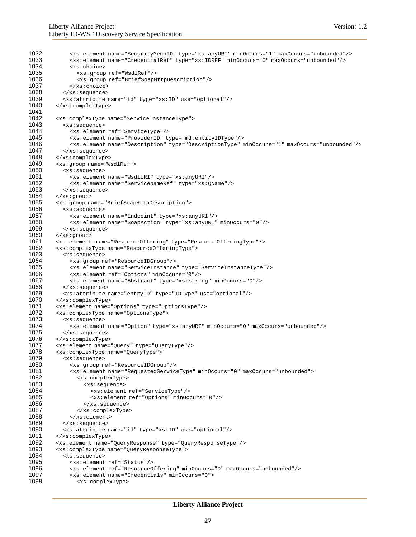```
1032 <xs:element name="SecurityMechID" type="xs:anyURI" minOccurs="1" maxOccurs="unbounded"/>
1033 <xs:element name="CredentialRef" type="xs:IDREF" minOccurs="0" maxOccurs="unbounded"/>
               1034 <xs:choice>
1035 <xs:group ref="WsdlRef"/>
1036 <xs:group ref="BriefSoapHttpDescription"/><br>1037 </xs:choice>
               </xs:choice>
1038 </xs:sequence><br>1039 <xs:attribute
1039 <xs:attribute name="id" type="xs:ID" use="optional"/><br>1040 </xs:complexType>
          1040 </xs:complexType>
1041<br>1042
         <xs: complexType name="ServiceInstanceType">
1043 <xs:sequence><br>1044 <xs:element
1044 <xs:element ref="ServiceType"/><br>1045 <xs:element name="ProviderID" t
              1045 <xs:element name="ProviderID" type="md:entityIDType"/>
1046 <xs:element name="Description" type="DescriptionType" minOccurs="1" maxOccurs="unbounded"/><br>1047 </xs:sequence>
1047 </xs:sequence><br>1048 </xs:complexType
1048 </xs:complexType><br>1049 <xs:group name="We
          <xs:group name="WsdlRef">
1050 <xs:sequence>
1051 <xs:element name="WsdlURI" type="xs:anyURI"/>
1052 <xs:element name="ServiceNameRef" type="xs:QName"/><br>1053 </xs:sequence>
            1053 </xs:sequence>
1054 < x s:group<br>1055 < x s:group n
1055 <xs:group name="BriefSoapHttpDescription">
1056 <xs:sequence><br>1057 <xs:element
              1057 <xs:element name="Endpoint" type="xs:anyURI"/>
1058 <xs:element name="SoapAction" type="xs:anyURI" minOccurs="0"/>
1059 \times x \cdot s: sequence><br>1060 \times x \cdot s : \text{aroup}1060 </xs:group><br>1061 <xs:element
         1061 <xs:element name="ResourceOffering" type="ResourceOfferingType"/>
1062 <xs:complexType name="ResourceOfferingType"><br>1063 <xs:sequence>
1063 <xs:sequence>
1064 <xs:group ref="ResourceIDGroup"/><br>1065 <xs:element name="ServiceInstance
               1065 <xs:element name="ServiceInstance" type="ServiceInstanceType"/>
1066 <xs:element ref="Options" minOccurs="0"/>
1067 <xs:element name="Abstract" type="xs:string" minOccurs="0"/>
            1068 </xs:sequence>
1069 <xs:attribute name="entryID" type="IDType" use="optional"/>
1070 </xs:complexType><br>1071 <xs:element name=
1071 <xs:element name="Options" type="OptionsType"/>
          <xs: complexType name="OptionsType">
1073 <xs:sequence>
1074 <xs:element name="Option" type="xs:anyURI" minOccurs="0" maxOccurs="unbounded"/>
1075 </xs:sequence>
          1076 </xs:complexType>
1077 <xs:element name="Query" type="QueryType"/>
1078 <xs:complexType name="QueryType"><br>1079 <xs:sequence>
1079 <xs:sequence>
1080 <xs:group ref="ResourceIDGroup"/><br>1081 <xs:element name="RequestedServic
               1081 <xs:element name="RequestedServiceType" minOccurs="0" maxOccurs="unbounded">
1082 <xs:complexType>
1083 <xs:sequence><br>1084 <xs:element
                      1084 <xs:element ref="ServiceType"/>
1085 <xs:element ref="Options" minOccurs="0"/>
1086 </xs:sequence><br>1087 </xs:complexType
1087 </xs:complexType>
1088 \langle x s : \text{element} \rangle<br>1089 \langle x s : \text{sequence} \rangle</xs:sequence>
1090 <xs:attribute name="id" type="xs:ID" use="optional"/>
1091 </xs:complexType><br>1092 <xs:element.name=
          1092 <xs:element name="QueryResponse" type="QueryResponseType"/>
1093 <xs:complexType name="QueryResponseType">
1094 <xs:sequence><br>1095 <xs:element
1095 <xs:element ref="Status"/><br>1096 <xs:element ref="Resource0
               1096 <xs:element ref="ResourceOffering" minOccurs="0" maxOccurs="unbounded"/>
1097 <xs:element name="Credentials" minOccurs="0">
1098 <xs:complexType>
```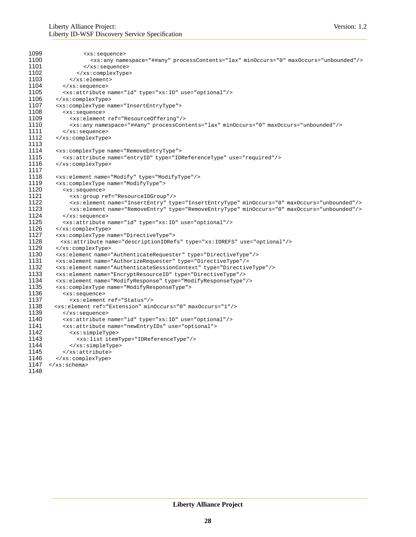```
1099 <xs:sequence><br>1100 <xs:any nam
1100 \leq xs: any namespace="##any" processContents="lax" minOccurs="0" maxOccurs="unbounded"/><br>1101 \leq xs: sequence>
                    1101 </xs:sequence>
1102 </xs:complexType><br>1103 </xs:element>
1103 </xs:element><br>1104 </xs:sequence>
             \langle xs: sequence>
1105 <xs:attribute name="id" type="xs:ID" use="optional"/><br>1106 </xs:complexType>
1106 </xs:complexType><br>1107 <xs:complexType na
1107 <xs:complexType name="InsertEntryType"><br>1108 <xs:sequence>
1108 <xs:sequence>
               1109 <xs:element ref="ResourceOffering"/>
1110 \langle x s : any name space = "##any" processContents="lax" minOccurs="0" maxOccurs="unbounded" /> 11111111 </xs:sequence><br>1112 </xs:complexType
          </xs:complexType>
1113
1114 <xs:complexType name="RemoveEntryType">
             1115 <xs:attribute name="entryID" type="IDReferenceType" use="required"/>
1116 </xs:complexType>
1117
1118 <xs:element name="Modify" type="ModifyType"/><br>1119 <xs:complexType name="ModifyType">
1119 <xs:complexType name="ModifyType"><br>1120 <xs:sequence>
            1120 <xs:sequence>
1121 <xs:group ref="ResourceIDGroup"/><br>1122 <xs:element name="InsertEntry" type
1122 <xs:element name="InsertEntry" type="InsertEntryType" minOccurs="0" maxOccurs="unbounded"/>
1123 <xs:element name="RemoveEntry" type="RemoveEntryType" minOccurs="0" maxOccurs="unbounded"/><br>1124 </xs:sequence>
             </xs:sequence>
1125 <xs:attribute name="id" type="xs:ID" use="optional"/>
1126 </xs:complexType><br>1127 <xs:complexType na
1127 <xs:complexType name="DirectiveType"><br>1128 <xs:attribute name="descriptionIDRef
           1128 <xs:attribute name="descriptionIDRefs" type="xs:IDREFS" use="optional"/>
1129 </xs:complexType><br>1130 <xs:element name=
1130 <xs:element name="AuthenticateRequester" type="DirectiveType"/>
1131 <xs:element name="AuthorizeRequester" type="DirectiveType"/>
          1132 <xs:element name="AuthenticateSessionContext" type="DirectiveType"/>
1133 <xs:element name="EncryptResourceID" type="DirectiveType"/>
1134 <xs:element name="ModifyResponse" type="ModifyResponseType"/>
          1135 <xs:complexType name="ModifyResponseType">
1136 <xs: sequence>
1137 <xs:element ref="Status"/><br>1138 <xs:element ref="Extension" min
1138 <xs:element ref="Extension" minOccurs="0" maxOccurs="1"/><br>1139 </xs:sequence>
            </xs:sequence>
1140 <xs:attribute name="id" type="xs:ID" use="optional"/>
1141 <xs:attribute name="newEntryIDs" use="optional">
1142 <xs:simpleType><br>1143 <xs:list.it.em
                 1143 <xs:list itemType="IDReferenceType"/>
1144 </xs:simpleType>
1145 </xs:attribute><br>1146 </xs:complexType>
1146     </xs:complexType><br>1147   </xs:schema>
       1/xs:schema>
1148
```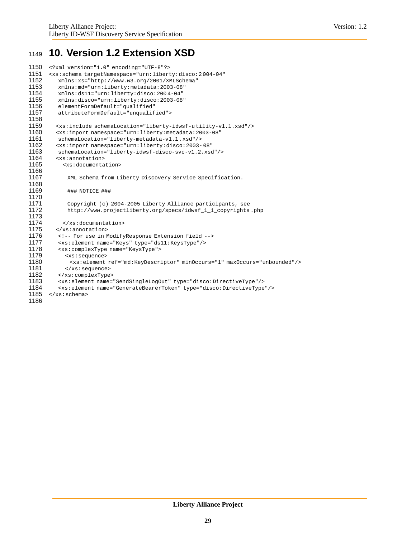# <span id="page-28-0"></span><sup>1149</sup> **10. Version 1.2 Extension XSD**

```
1150 <?xml version="1.0" encoding="UTF-8"?>
        1151 <xs:schema targetNamespace="urn:liberty:disco:2 004-04"
1152 xmlns:xs="http://www.w3.org/2001/XMLSchema"
1153 xmlns: md="urn:liberty: metadata: 2003-08"<br>1154 xmlns: ds11="urn:liberty: disco: 2004-04"
1154 xmlns:ds11="urn:liberty:disco:2004-04"<br>1155 xmlns:disco="urn:liberty:disco:2003-08
1155 xmlns:disco="urn:liberty:disco:2003-08"<br>1156 elementFormDefault="qualified"
1156 elementFormDefault="qualified"<br>1157 attributeFormDefault="unqualif
            1157 attributeFormDefault="unqualified">
1158
           1159 <xs:include schemaLocation="liberty-idwsf-u tility-v1.1.xsd"/>
1160 <xs:import namespace="urn:liberty:metadata:2003-08"
1161 schemaLocation="liberty-metadata-v1.1.xsd"/><br>1162 <xs:import namespace="urn:liberty:disco:2003-
1162 <xs:import namespace="urn:liberty:disco:2003-08"<br>1163 schemaLocation="liberty-idwsf-disco-svc-vl.2.xsc
1163 schemaLocation="liberty-idwsf-disco-svc-v1.2.xsd"/><br>1164 <xs:annotation>
1164 <xs:annotation><br>1165 <xs:documenta
              <xs:documentation>
1166
1167 XML Schema from Liberty Discovery Service Specification.
1168
                1169 ### NOTICE ###
1170
1171 Copyright (c) 2004-2005 Liberty Alliance participants, see<br>1172 http://www.projectliberty.org/specs/idwsf_1_1_copyrights
                http://www.projectliberty.org/specs/idwsf_1_1_copyrights.php
1173
1174 </xs:documentation><br>1175 </xs:annotation>
           1175 </xs:annotation>
1176 <!-- For use in ModifyResponse Extension field -->
1177 <xs:element name="Keys" type="ds11:KeysType"/><br>1178 <xs:complexType name="KeysType">
            1178 <xs:complexType name="KeysType">
1179 <xs:sequence><br>1180 <xs:element
1180 <xs:element ref="md:KeyDescriptor" minOccurs="1" maxOccurs="unbounded"/><br>1181 </xs:sequence>
               1181 </xs:sequence>
1182 </xs:complexType><br>1183 <xs:element.name=
            1183 <xs:element name="SendSingleLogOut" type="disco:DirectiveType"/>
1184 <xs:element name="GenerateBearerToken" type="disco:DirectiveType"/>
1185 \langle x s : \text{scheme}\rangle
```
1186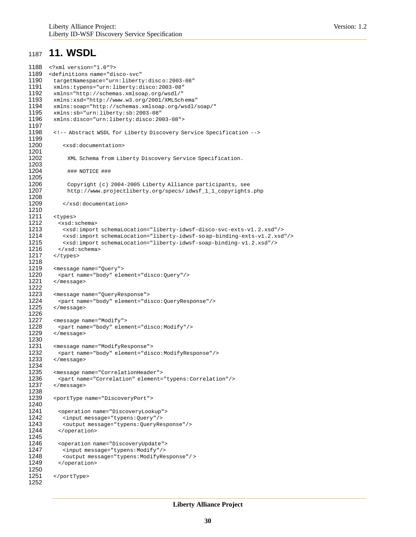### <span id="page-29-0"></span><sup>1187</sup> **11. WSDL**

```
1188 <?xml version="1.0"?>
         1189 <definitions name="disco-svc"
1190 targetNamespace="urn:liberty:disc o:2003-08"
1191 xmlns:typens="urn:liberty:disco:2003-08"<br>1192 xmlns="http://schemas.xmlsoap.org/wsdl/"
1192 xmlns="http://schemas.xmlsoap.org/wsdl/"
1193 xmlns:xsd="http://www.w3.org/2001/XMLSchema"<br>1194 xmlns:soap="http://schemas.xmlsoap.org/wsdl/
1194 xmlns:soap="http://schemas.xmlsoap.org/wsdl/soap/"<br>1195 xmlns:sb="urn:liberty:sb:2003-08"
1195 xmlns:sb="urn:liberty:sb:2003-08"<br>1196 xmlns:disco="urn:liberty:disco:20
           1196 xmlns:disco="urn:liberty:disco:2003-08">
1197
1198 <!-- Abstract WSDL for Liberty Discovery Service Specification -->
1199
               <xsd:documentation>
1201
                 XML Schema from Liberty Discovery Service Specification.
1203
                 1204 ### NOTICE ###
1205
1206 Copyright (c) 2004-2005 Liberty Alliance participants, see
1207 http://www.projectliberty.org/specs/ idwsf_1_1_copyrights.php
1208
1209 </xsd:documentation>
1210
           <types>
1212 <xsd:schema><br>1213 <xsd:import
               1213 <xsd:import schemaLocation="liberty-idwsf-disco-svc-exts-v1. 2.xsd"/>
1214 <xsd:import schemaLocation="liberty-idwsf-so ap-binding-exts-v1.2.xsd"/>
1215 <xsd:import schemaLocation="liberty-idwsf-soap-binding-v1.2.xsd"/><br>1216 </xsd:schema>
             1216 </xsd:schema>
1217 </types>
1218
1219 < message name="Query"><br>1220 < part name="body" ele
1220 \leq \leq \leq \leq \leq \leq \leq \leq \leq \leq \leq \leq \leq \leq \leq \leq \leq \leq \leq \leq \leq \leq \leq \leq \leq \leq \leq \leq \leq \leq \leq \leq \leq \leq \leq \leq 
           </message>
1222
1223 <message name="QueryResponse"><br>1224 <part name="body" element="di
1224 <part name="body" element="disco:QueryResponse"/><br>1225 </message>
           \langlemessage>
1226
1227 < message name="Modify"><br>1228 < part name="body" elem
1228 \leq \leq \leq \leq \leq \leq \leq \leq \leq \leq \leq \leq \leq \leq \leq \leq \leq \leq \leq \leq \leq \leq \leq \leq \leq \leq \leq \leq \leq \leq \leq \leq \leq \leq \leq \leq 
           </message>
1230
1231 <message name="ModifyResponse"><br>1232 <part name="body" element="dis
1232 \leq <part name="body" element="disco:ModifyResponse"/><br>1233 \leq/message>
           </message>
1234
1235 < message name="Correlation Header">
1236 < part name="Correlation" element=
1236 <part name="Correlation" element="typens:Correlation"/><br>1237 </message>
           </message>
1238
           1239 <portType name="DiscoveryPort">
1240
1241 <operation name="DiscoveryLookup"><br>1242 <input message="typens:0uery"/>
1242 <input message="typens: Query"/><br>1243 < output message="typens: QueryRe
               1243 <output message="typens:QueryResponse"/>
1244 </operation>
1245
1246 < operation name="DiscoveryUpdate"><br>1247 < input message="typens:Modify"/>
1247 <input message="typens:Modify"/><br>1248 < output message="typens:ModifyRe
1248 < output message="typens:ModifyResponse"/><br>1249 </ </ </ </ </ </ </
             </operation>
1250
1251 </portType>
1252
```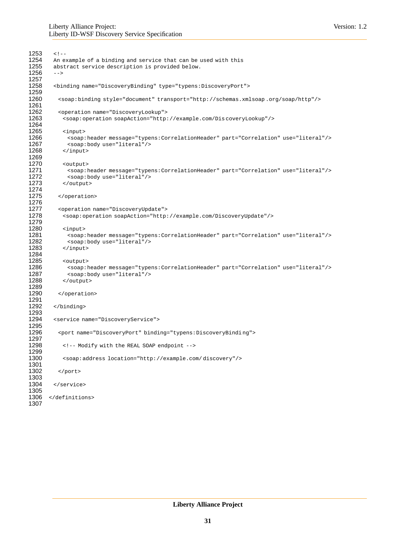```
1253 <!--<br>1254 An e
1254 An example of a binding and service that can be used with this 1255 abstract service description is provided below.
        abstract service description is provided below.
1256 -->
1257
         1258 <binding name="DiscoveryBinding" type="typens:DiscoveryPort">
1259
           1260 <soap:binding style="document" transport="http://schemas.xmlsoap .org/soap/http"/>
1261
1262 <operation name="DiscoveryLookup"><br>1263 <soap:operation soapAction="http:
            1263 <soap:operation soapAction="http://example.com/Dis coveryLookup"/>
1264
1265 <input><br>1266 <soap:
1266 <soap:header message="typens:CorrelationHeader" part="Correlation" use="literal"/><br>1267 <soap:body use="literal"/>
1267 <soap:body use="literal"/><br>1268 </input>
            1268 </input>
1269
1270 <output><br>1271 <soap:1
             1271 <soap:header message="typens:CorrelationHeader" part="Correlation" use="literal"/>
1272 <soap:body use="literal"/><br>1273 </output>
            </output>
1274
1275 </operation>
1276
1277 <operation name="DiscoveryUpdate"><br>1278 <soap:operation soapAction="http:
            1278 <soap:operation soapAction="http://example.com/DiscoveryUpdate"/>
1279
1280 <input><br>1281 <soap:
1281 <soap:header message="typens:CorrelationHeader" part="Correlation" use="literal"/><br>1282 <soap:body use="literal"/>
             1282 <soap:body use="literal"/>
1283 </input>
1284
1285 <output>
              1286 <soap:header message="typens:CorrelationHeader" part="Correlation" use="literal"/>
1287 <soap:body use="literal"/>
1288 </output>
1289
1290 </operation>
1291
         </binding>
1293
         1294 <service name="DiscoveryService">
1295
1296 <port name="DiscoveryPort" binding="typens:DiscoveryBindi ng">
1297
1298 <!-- Modify with the REAL SOAP endpoint -->
1299
            1300 <soap:address location="http://example.com/ discovery"/>
1301
           </port>
1303
1304 </service>
1305
1306 </definitions>
1307
```